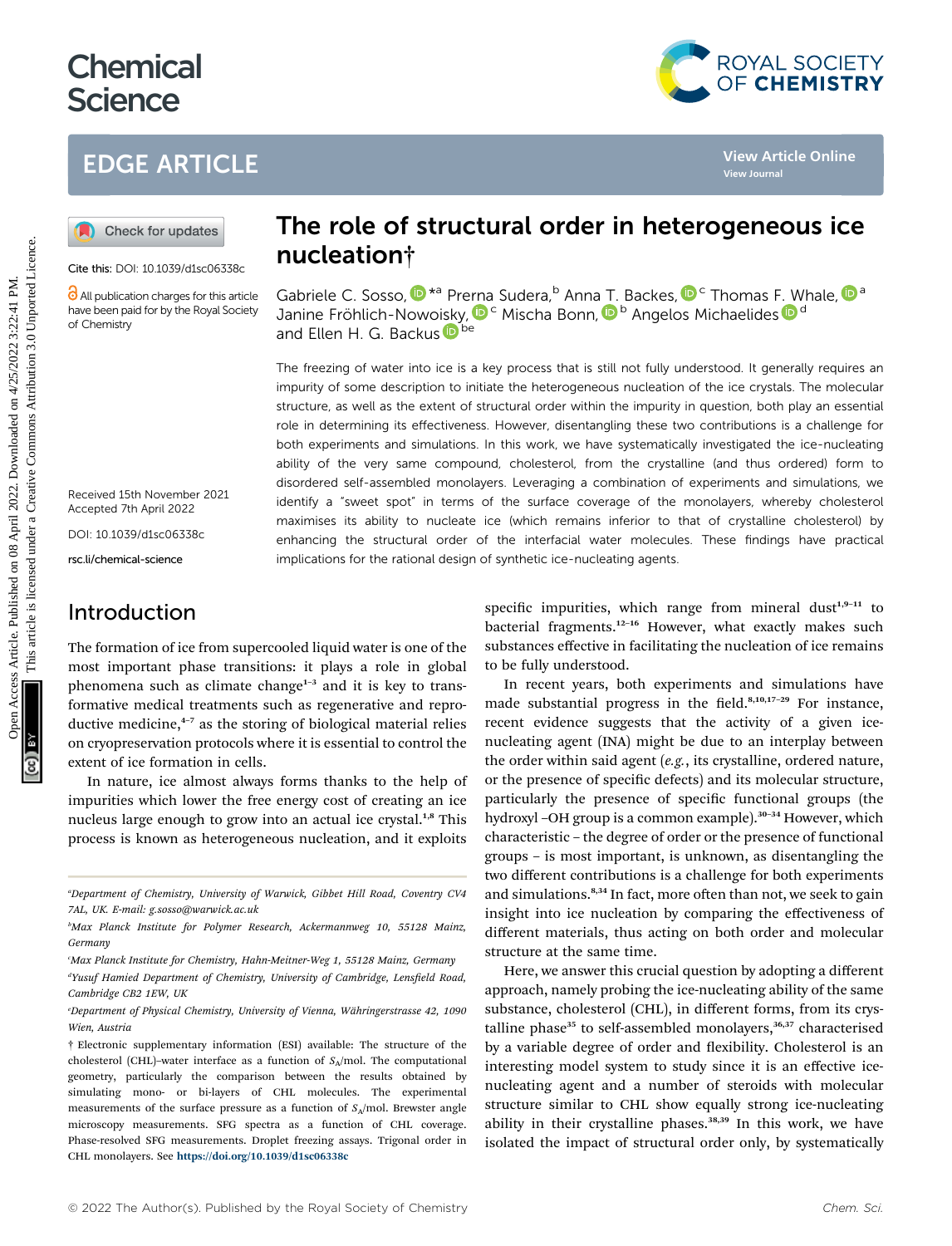# **Chemical Science**

## EDGE ARTICLE



Cite this: DOI: 10.1039/d1sc06338c

All publication charges for this article have been paid for by the Royal Society of Chemistry

Received 15th November 2021 Accepted 7th April 2022

DOI: 10.1039/d1sc06338c

rsc.li/chemical-science

### Introduction

The formation of ice from supercooled liquid water is one of the most important phase transitions: it plays a role in global phenomena such as climate change $1-3$  and it is key to transformative medical treatments such as regenerative and reproductive medicine, $4-7$  as the storing of biological material relies on cryopreservation protocols where it is essential to control the extent of ice formation in cells.

In nature, ice almost always forms thanks to the help of impurities which lower the free energy cost of creating an ice nucleus large enough to grow into an actual ice crystal.<sup>1,8</sup> This process is known as heterogeneous nucleation, and it exploits

## The role of structural order in heterogeneous ice nucleation†

G[a](http://orcid.org/0000-0001-6851-8453)briele C. Sosso[,](http://orcid.org/0000-0002-2163-8973)  $\mathbf{D}^{\star a}$  Pr[erna](http://orcid.org/0000-0002-1278-0054) Sudera, <sup>b</sup> Anna [T.](http://orcid.org/0000-0001-6851-8453) Backes,  $\mathbf{D}^c$  Thomas F. Whale,  $\mathbf{D}^a$ Janine Fröhlich-Nowoi[s](http://orcid.org/0000-0002-9169-169X)ky, D<sup>c</sup> Mischa Bonn, D<sup>b</sup> Angelos Michaelides D<sup>d</sup> and Ellen H. G. Backu[s](http://orcid.org/0000-0002-6202-0280) Dbe

The freezing of water into ice is a key process that is still not fully understood. It generally requires an impurity of some description to initiate the heterogeneous nucleation of the ice crystals. The molecular structure, as well as the extent of structural order within the impurity in question, both play an essential role in determining its effectiveness. However, disentangling these two contributions is a challenge for both experiments and simulations. In this work, we have systematically investigated the ice-nucleating ability of the very same compound, cholesterol, from the crystalline (and thus ordered) form to disordered self-assembled monolayers. Leveraging a combination of experiments and simulations, we identify a "sweet spot" in terms of the surface coverage of the monolayers, whereby cholesterol maximises its ability to nucleate ice (which remains inferior to that of crystalline cholesterol) by enhancing the structural order of the interfacial water molecules. These findings have practical implications for the rational design of synthetic ice-nucleating agents. **CDCE ARTICLE**<br> **COPEN ACCESS ARTICLE CONSULTEREM ACCESS ARTICLE CONSULTERED CONSULTERED CONSULTERED CONSULTERED CONSULTERED CONSULTERED CONSULTERED CONSULTERED CONSULTERED CONSULTERED CONSULTERED CONSULTERED TO THE CONSUL** 

specific impurities, which range from mineral dust<sup>1,9-11</sup> to bacterial fragments.<sup>12-16</sup> However, what exactly makes such substances effective in facilitating the nucleation of ice remains to be fully understood.

In recent years, both experiments and simulations have made substantial progress in the field.<sup>8,10,17-29</sup> For instance, recent evidence suggests that the activity of a given icenucleating agent (INA) might be due to an interplay between the order within said agent (e.g., its crystalline, ordered nature, or the presence of specific defects) and its molecular structure, particularly the presence of specific functional groups (the hydroxyl -OH group is a common example).<sup>30-34</sup> However, which characteristic – the degree of order or the presence of functional groups – is most important, is unknown, as disentangling the two different contributions is a challenge for both experiments and simulations.<sup>8,34</sup> In fact, more often than not, we seek to gain insight into ice nucleation by comparing the effectiveness of different materials, thus acting on both order and molecular structure at the same time.

Here, we answer this crucial question by adopting a different approach, namely probing the ice-nucleating ability of the same substance, cholesterol (CHL), in different forms, from its crystalline phase<sup>35</sup> to self-assembled monolayers,<sup>36,37</sup> characterised by a variable degree of order and flexibility. Cholesterol is an interesting model system to study since it is an effective icenucleating agent and a number of steroids with molecular structure similar to CHL show equally strong ice-nucleating ability in their crystalline phases.<sup>38,39</sup> In this work, we have isolated the impact of structural order only, by systematically



a Department of Chemistry, University of Warwick, Gibbet Hill Road, Coventry CV4 7AL, UK. E-mail: g.sosso@warwick.ac.uk

b Max Planck Institute for Polymer Research, Ackermannweg 10, 55128 Mainz, Germany

c Max Planck Institute for Chemistry, Hahn-Meitner-Weg 1, 55128 Mainz, Germany <sup>a</sup>Yusuf Hamied Department of Chemistry, University of Cambridge, Lensfield Road, Cambridge CB2 1EW, UK

Department of Physical Chemistry, University of Vienna, Währingerstrasse 42, 1090 Wien, Austria

<sup>†</sup> Electronic supplementary information (ESI) available: The structure of the cholesterol (CHL)–water interface as a function of  $S_A$ /mol. The computational geometry, particularly the comparison between the results obtained by simulating mono- or bi-layers of CHL molecules. The experimental measurements of the surface pressure as a function of  $S_A$ /mol. Brewster angle microscopy measurements. SFG spectra as a function of CHL coverage. Phase-resolved SFG measurements. Droplet freezing assays. Trigonal order in CHL monolayers. See <https://doi.org/10.1039/d1sc06338c>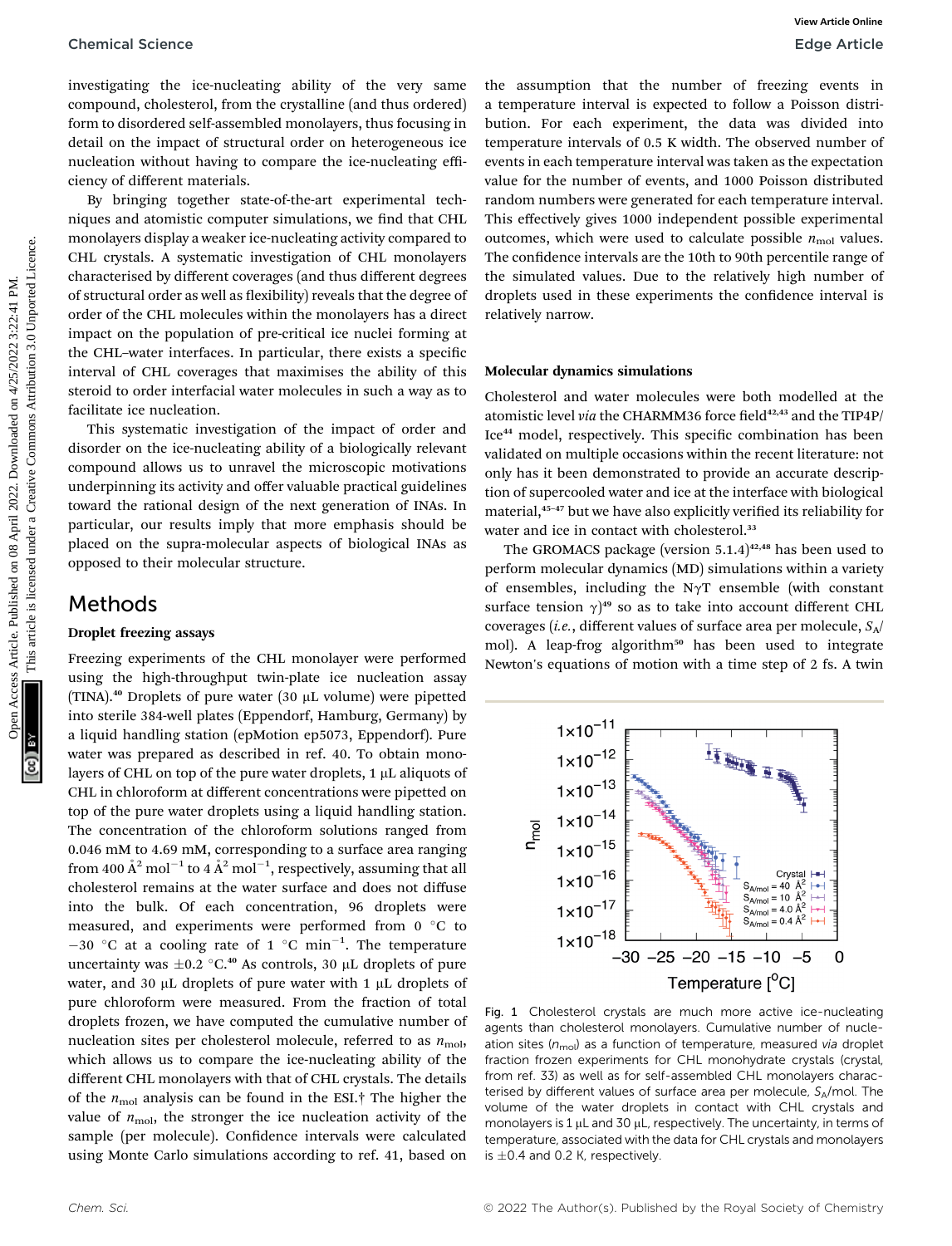investigating the ice-nucleating ability of the very same compound, cholesterol, from the crystalline (and thus ordered) form to disordered self-assembled monolayers, thus focusing in detail on the impact of structural order on heterogeneous ice nucleation without having to compare the ice-nucleating efficiency of different materials.

By bringing together state-of-the-art experimental techniques and atomistic computer simulations, we find that CHL monolayers display a weaker ice-nucleating activity compared to CHL crystals. A systematic investigation of CHL monolayers characterised by different coverages (and thus different degrees of structural order as well as flexibility) reveals that the degree of order of the CHL molecules within the monolayers has a direct impact on the population of pre-critical ice nuclei forming at the CHL–water interfaces. In particular, there exists a specific interval of CHL coverages that maximises the ability of this steroid to order interfacial water molecules in such a way as to facilitate ice nucleation.

This systematic investigation of the impact of order and disorder on the ice-nucleating ability of a biologically relevant compound allows us to unravel the microscopic motivations underpinning its activity and offer valuable practical guidelines toward the rational design of the next generation of INAs. In particular, our results imply that more emphasis should be placed on the supra-molecular aspects of biological INAs as opposed to their molecular structure.

### Methods

#### Droplet freezing assays

Freezing experiments of the CHL monolayer were performed using the high-throughput twin-plate ice nucleation assay (TINA).<sup>40</sup> Droplets of pure water (30  $\mu$ L volume) were pipetted into sterile 384-well plates (Eppendorf, Hamburg, Germany) by a liquid handling station (epMotion ep5073, Eppendorf). Pure water was prepared as described in ref. 40. To obtain monolayers of CHL on top of the pure water droplets,  $1 \mu$ L aliquots of CHL in chloroform at different concentrations were pipetted on top of the pure water droplets using a liquid handling station. The concentration of the chloroform solutions ranged from 0.046 mM to 4.69 mM, corresponding to a surface area ranging from 400  $\rm \AA^2$  mol $^{-1}$  to 4  $\rm \AA^2$  mol $^{-1}$ , respectively, assuming that all cholesterol remains at the water surface and does not diffuse into the bulk. Of each concentration, 96 droplets were measured, and experiments were performed from  $0^{\circ}$ C to  $-30$  °C at a cooling rate of 1 °C min<sup>-1</sup>. The temperature uncertainty was  $\pm 0.2$  °C.<sup>40</sup> As controls, 30 µL droplets of pure water, and 30  $\mu$ L droplets of pure water with 1  $\mu$ L droplets of pure chloroform were measured. From the fraction of total droplets frozen, we have computed the cumulative number of nucleation sites per cholesterol molecule, referred to as  $n_{\text{mol}}$ , which allows us to compare the ice-nucleating ability of the different CHL monolayers with that of CHL crystals. The details of the  $n_{\text{mol}}$  analysis can be found in the ESI.<sup>†</sup> The higher the value of  $n_{\text{mol}}$ , the stronger the ice nucleation activity of the sample (per molecule). Confidence intervals were calculated using Monte Carlo simulations according to ref. 41, based on

the assumption that the number of freezing events in a temperature interval is expected to follow a Poisson distribution. For each experiment, the data was divided into temperature intervals of 0.5 K width. The observed number of events in each temperature interval was taken as the expectation value for the number of events, and 1000 Poisson distributed random numbers were generated for each temperature interval. This effectively gives 1000 independent possible experimental outcomes, which were used to calculate possible  $n_{\text{mol}}$  values. The confidence intervals are the 10th to 90th percentile range of the simulated values. Due to the relatively high number of droplets used in these experiments the confidence interval is relatively narrow. Chemical Science<br>
investigating the terrestation gradient published on the original component is emperature is terrested to forecal on 5 April 2022.<br>
Component, choose are the considered in the component is emperature is

#### Molecular dynamics simulations

Cholesterol and water molecules were both modelled at the atomistic level *via* the CHARMM36 force field<sup>42,43</sup> and the TIP4P/ Ice<sup>44</sup> model, respectively. This specific combination has been validated on multiple occasions within the recent literature: not only has it been demonstrated to provide an accurate description of supercooled water and ice at the interface with biological material,<sup>45-47</sup> but we have also explicitly verified its reliability for water and ice in contact with cholesterol.<sup>33</sup>

The GROMACS package (version  $5.1.4$ )<sup>42,48</sup> has been used to perform molecular dynamics (MD) simulations within a variety of ensembles, including the N $\gamma T$  ensemble (with constant surface tension  $\gamma$ <sup>49</sup> so as to take into account different CHL<br>coverage (i.e. different values of surface area per molecule, S. coverages (*i.e.*, different values of surface area per molecule,  $S_A/$ mol). A leap-frog algorithm<sup>50</sup> has been used to integrate Newton's equations of motion with a time step of 2 fs. A twin



Fig. 1 Cholesterol crystals are much more active ice-nucleating agents than cholesterol monolayers. Cumulative number of nucleation sites ( $n_{\text{mol}}$ ) as a function of temperature, measured via droplet fraction frozen experiments for CHL monohydrate crystals (crystal, from ref. 33) as well as for self-assembled CHL monolayers characterised by different values of surface area per molecule,  $S_A$ /mol. The volume of the water droplets in contact with CHL crystals and monolayers is  $1 \mu$ L and 30  $\mu$ L, respectively. The uncertainty, in terms of temperature, associated with the data for CHL crystals and monolayers is  $\pm 0.4$  and 0.2 K, respectively.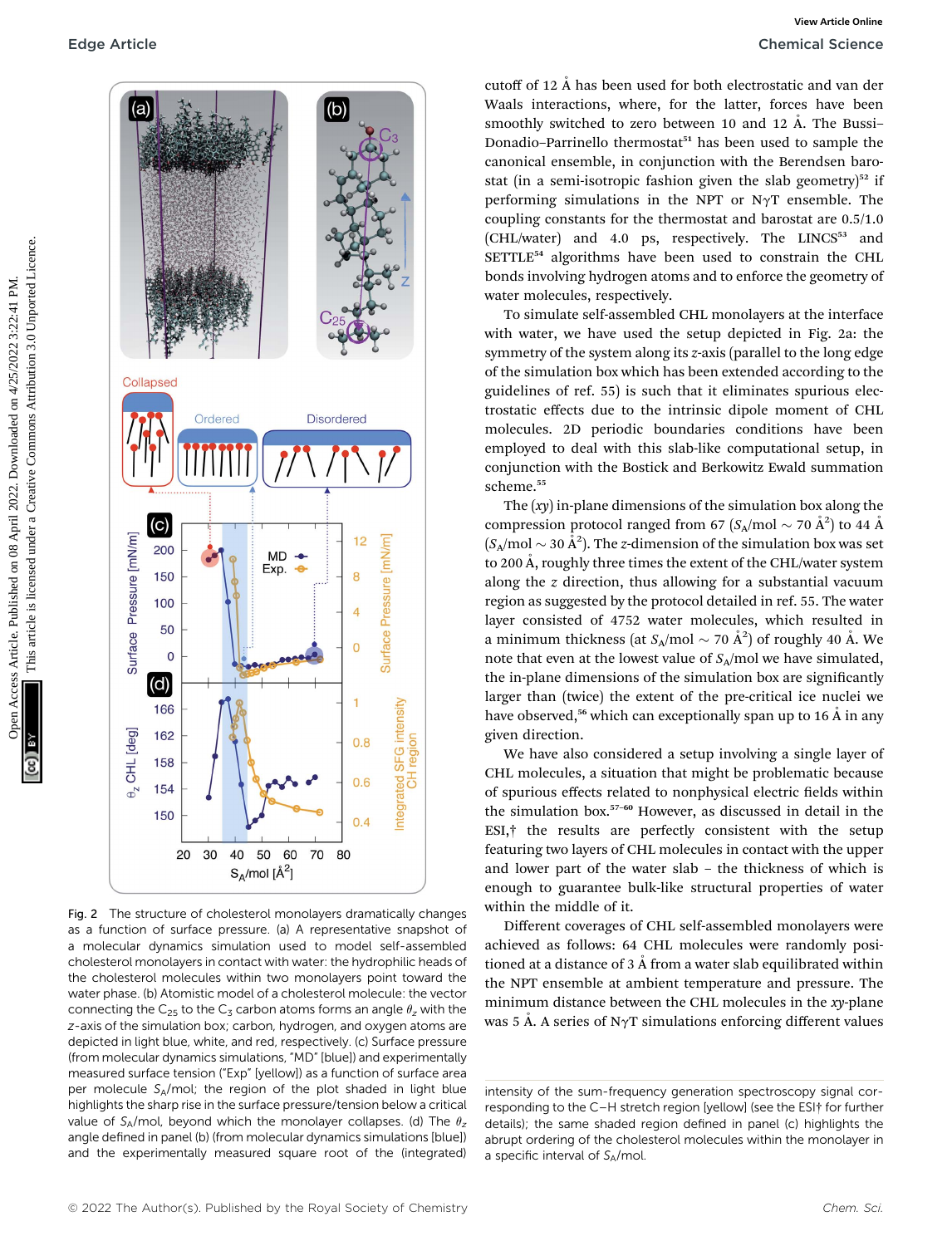

Fig. 2 The structure of cholesterol monolayers dramatically changes as a function of surface pressure. (a) A representative snapshot of a molecular dynamics simulation used to model self-assembled cholesterol monolayers in contact with water: the hydrophilic heads of the cholesterol molecules within two monolayers point toward the water phase. (b) Atomistic model of a cholesterol molecule: the vector connecting the C<sub>25</sub> to the C<sub>3</sub> carbon atoms forms an angle  $\theta$ <sub>z</sub> with the z-axis of the simulation box; carbon, hydrogen, and oxygen atoms are depicted in light blue, white, and red, respectively. (c) Surface pressure (from molecular dynamics simulations, "MD" [blue]) and experimentally measured surface tension ("Exp" [yellow]) as a function of surface area per molecule SA/mol; the region of the plot shaded in light blue highlights the sharp rise in the surface pressure/tension below a critical value of  $S_A/mol$ , beyond which the monolayer collapses. (d) The  $\theta_z$ angle defined in panel (b) (from molecular dynamics simulations [blue]) and the experimentally measured square root of the (integrated)

cutoff of 12  $\AA$  has been used for both electrostatic and van der Waals interactions, where, for the latter, forces have been smoothly switched to zero between 10 and 12 Å. The Bussi-Donadio-Parrinello thermostat<sup>51</sup> has been used to sample the canonical ensemble, in conjunction with the Berendsen barostat (in a semi-isotropic fashion given the slab geometry) $52$  if performing simulations in the NPT or N $\gamma$ T ensemble. The coupling constants for the thermostat and barostat are 0.5/1.0 (CHL/water) and 4.0 ps, respectively. The LINCS<sup>53</sup> and SETTLE<sup>54</sup> algorithms have been used to constrain the CHL bonds involving hydrogen atoms and to enforce the geometry of water molecules, respectively.

To simulate self-assembled CHL monolayers at the interface with water, we have used the setup depicted in Fig. 2a: the symmetry of the system along its z-axis (parallel to the long edge of the simulation box which has been extended according to the guidelines of ref. 55) is such that it eliminates spurious electrostatic effects due to the intrinsic dipole moment of CHL molecules. 2D periodic boundaries conditions have been employed to deal with this slab-like computational setup, in conjunction with the Bostick and Berkowitz Ewald summation scheme.<sup>55</sup>

The  $(xy)$  in-plane dimensions of the simulation box along the compression protocol ranged from 67 ( $S_A$ /mol  $\sim$  70 Å<sup>2</sup>) to 44 Å  $(S_A/mol \sim 30 \text{ Å}^2)$ . The z-dimension of the simulation box was set to 200 Å, roughly three times the extent of the CHL/water system along the z direction, thus allowing for a substantial vacuum region as suggested by the protocol detailed in ref. 55. The water layer consisted of 4752 water molecules, which resulted in a minimum thickness (at  $S_A/\text{mol} \sim 70 \text{ Å}^2$ ) of roughly 40 Å. We note that even at the lowest value of  $S_A$ /mol we have simulated, the in-plane dimensions of the simulation box are significantly larger than (twice) the extent of the pre-critical ice nuclei we have observed,<sup>56</sup> which can exceptionally span up to 16  $\AA$  in any given direction.

We have also considered a setup involving a single layer of CHL molecules, a situation that might be problematic because of spurious effects related to nonphysical electric fields within the simulation box.<sup>57</sup>–<sup>60</sup> However, as discussed in detail in the ESI,† the results are perfectly consistent with the setup featuring two layers of CHL molecules in contact with the upper and lower part of the water slab – the thickness of which is enough to guarantee bulk-like structural properties of water within the middle of it.

Different coverages of CHL self-assembled monolayers were achieved as follows: 64 CHL molecules were randomly positioned at a distance of  $3 \text{ Å}$  from a water slab equilibrated within the NPT ensemble at ambient temperature and pressure. The minimum distance between the CHL molecules in the xy-plane was 5 Å. A series of N $\gamma$ T simulations enforcing different values

intensity of the sum-frequency generation spectroscopy signal corresponding to the C–H stretch region [yellow] (see the ESI† for further details); the same shaded region defined in panel (c) highlights the abrupt ordering of the cholesterol molecules within the monolayer in a specific interval of  $S_A$ /mol.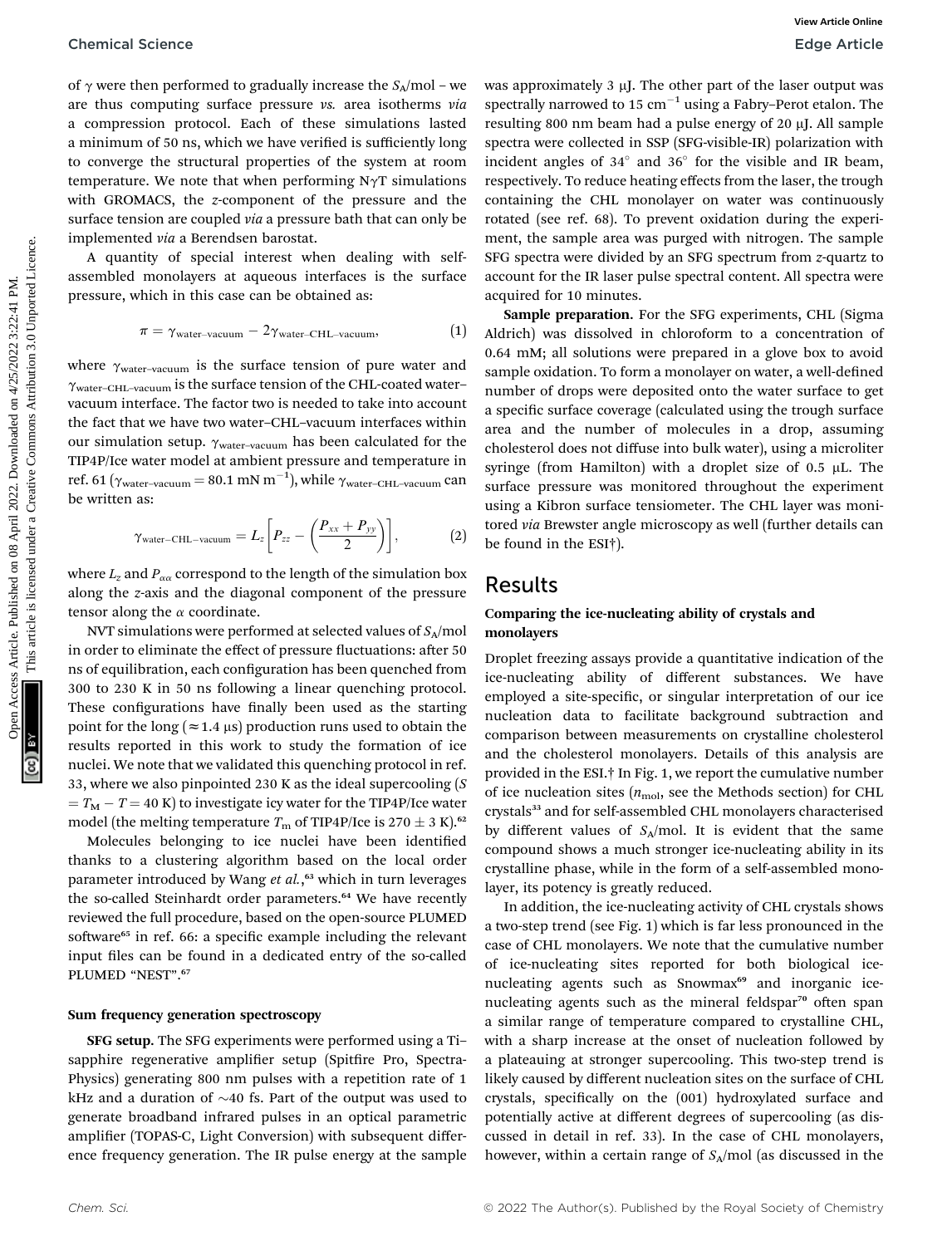of  $\gamma$  were then performed to gradually increase the  $S_A/mol$  – we are thus computing surface pressure vs. area isotherms via a compression protocol. Each of these simulations lasted a minimum of 50 ns, which we have verified is sufficiently long to converge the structural properties of the system at room temperature. We note that when performing  $N\gamma T$  simulations with GROMACS, the z-component of the pressure and the surface tension are coupled *via* a pressure bath that can only be implemented via a Berendsen barostat.

A quantity of special interest when dealing with selfassembled monolayers at aqueous interfaces is the surface pressure, which in this case can be obtained as:

$$
\pi = \gamma_{\text{water-vacuum}} - 2\gamma_{\text{water-CHL-vacuum}}, \tag{1}
$$

where  $\gamma_{\text{water-vacuum}}$  is the surface tension of pure water and  $\gamma_{\text{water-CHL-vacuum}}$  is the surface tension of the CHL-coated water– vacuum interface. The factor two is needed to take into account the fact that we have two water–CHL–vacuum interfaces within our simulation setup.  $\gamma_{\text{water-vacuum}}$  has been calculated for the TIP4P/Ice water model at ambient pressure and temperature in ref. 61 ( $\gamma_{\text{water-vacuum}} = 80.1 \text{ mN m}^{-1}$ ), while  $\gamma_{\text{water-CHL-vacuum}}$  can be written as:

$$
\gamma_{\text{water-CHL-vacuum}} = L_z \bigg[ P_{zz} - \bigg( \frac{P_{xx} + P_{yy}}{2} \bigg) \bigg], \tag{2}
$$

where  $L_z$  and  $P_{\alpha\alpha}$  correspond to the length of the simulation box along the z-axis and the diagonal component of the pressure tensor along the  $\alpha$  coordinate.

NVT simulations were performed at selected values of  $S_A$ /mol in order to eliminate the effect of pressure fluctuations: after 50 ns of equilibration, each configuration has been quenched from 300 to 230 K in 50 ns following a linear quenching protocol. These configurations have finally been used as the starting point for the long ( $\approx$  1.4  $\mu$ s) production runs used to obtain the results reported in this work to study the formation of ice nuclei. We note that we validated this quenching protocol in ref. 33, where we also pinpointed 230 K as the ideal supercooling (S  $T_{\rm M} - T = 40$  K) to investigate icy water for the TIP4P/Ice water model (the melting temperature  $T_{\rm m}$  of TIP4P/Ice is 270  $\pm$  3 K).<sup>62</sup>

Molecules belonging to ice nuclei have been identified thanks to a clustering algorithm based on the local order parameter introduced by Wang et al.,<sup>63</sup> which in turn leverages the so-called Steinhardt order parameters.<sup>64</sup> We have recently reviewed the full procedure, based on the open-source PLUMED software<sup>65</sup> in ref. 66: a specific example including the relevant input files can be found in a dedicated entry of the so-called PLUMED "NEST". 67

#### Sum frequency generation spectroscopy

SFG setup. The SFG experiments were performed using a Ti– sapphire regenerative amplifier setup (Spitfire Pro, Spectra-Physics) generating 800 nm pulses with a repetition rate of 1 kHz and a duration of  $\sim$ 40 fs. Part of the output was used to generate broadband infrared pulses in an optical parametric amplifier (TOPAS-C, Light Conversion) with subsequent difference frequency generation. The IR pulse energy at the sample

was approximately  $3 \mu$ J. The other part of the laser output was spectrally narrowed to 15  $cm^{-1}$  using a Fabry–Perot etalon. The resulting 800 nm beam had a pulse energy of 20  $\mu$ J. All sample spectra were collected in SSP (SFG-visible-IR) polarization with incident angles of  $34^\circ$  and  $36^\circ$  for the visible and IR beam, respectively. To reduce heating effects from the laser, the trough containing the CHL monolayer on water was continuously rotated (see ref. 68). To prevent oxidation during the experiment, the sample area was purged with nitrogen. The sample SFG spectra were divided by an SFG spectrum from z-quartz to account for the IR laser pulse spectral content. All spectra were acquired for 10 minutes.

Sample preparation. For the SFG experiments, CHL (Sigma Aldrich) was dissolved in chloroform to a concentration of 0.64 mM; all solutions were prepared in a glove box to avoid sample oxidation. To form a monolayer on water, a well-defined number of drops were deposited onto the water surface to get a specific surface coverage (calculated using the trough surface area and the number of molecules in a drop, assuming cholesterol does not diffuse into bulk water), using a microliter syringe (from Hamilton) with a droplet size of  $0.5 \mu L$ . The surface pressure was monitored throughout the experiment using a Kibron surface tensiometer. The CHL layer was monitored via Brewster angle microscopy as well (further details can be found in the ESI†). Chemical Science<br>
one-was removed to gradually increase the  $S_n^{\text{initial}}$  constraints on operating merecological and the increase are the computed in the computed under the common article. The state of the state of the state

### Results

#### Comparing the ice-nucleating ability of crystals and monolayers

Droplet freezing assays provide a quantitative indication of the ice-nucleating ability of different substances. We have employed a site-specific, or singular interpretation of our ice nucleation data to facilitate background subtraction and comparison between measurements on crystalline cholesterol and the cholesterol monolayers. Details of this analysis are provided in the ESI.† In Fig. 1, we report the cumulative number of ice nucleation sites  $(n_{\text{mol}})$ , see the Methods section) for CHL crystals<sup>33</sup> and for self-assembled CHL monolayers characterised by different values of  $S_A$ /mol. It is evident that the same compound shows a much stronger ice-nucleating ability in its crystalline phase, while in the form of a self-assembled monolayer, its potency is greatly reduced.

In addition, the ice-nucleating activity of CHL crystals shows a two-step trend (see Fig. 1) which is far less pronounced in the case of CHL monolayers. We note that the cumulative number of ice-nucleating sites reported for both biological icenucleating agents such as Snowmax<sup>69</sup> and inorganic icenucleating agents such as the mineral feldspar<sup>70</sup> often span a similar range of temperature compared to crystalline CHL, with a sharp increase at the onset of nucleation followed by a plateauing at stronger supercooling. This two-step trend is likely caused by different nucleation sites on the surface of CHL crystals, specifically on the (001) hydroxylated surface and potentially active at different degrees of supercooling (as discussed in detail in ref. 33). In the case of CHL monolayers, however, within a certain range of  $S_A$ /mol (as discussed in the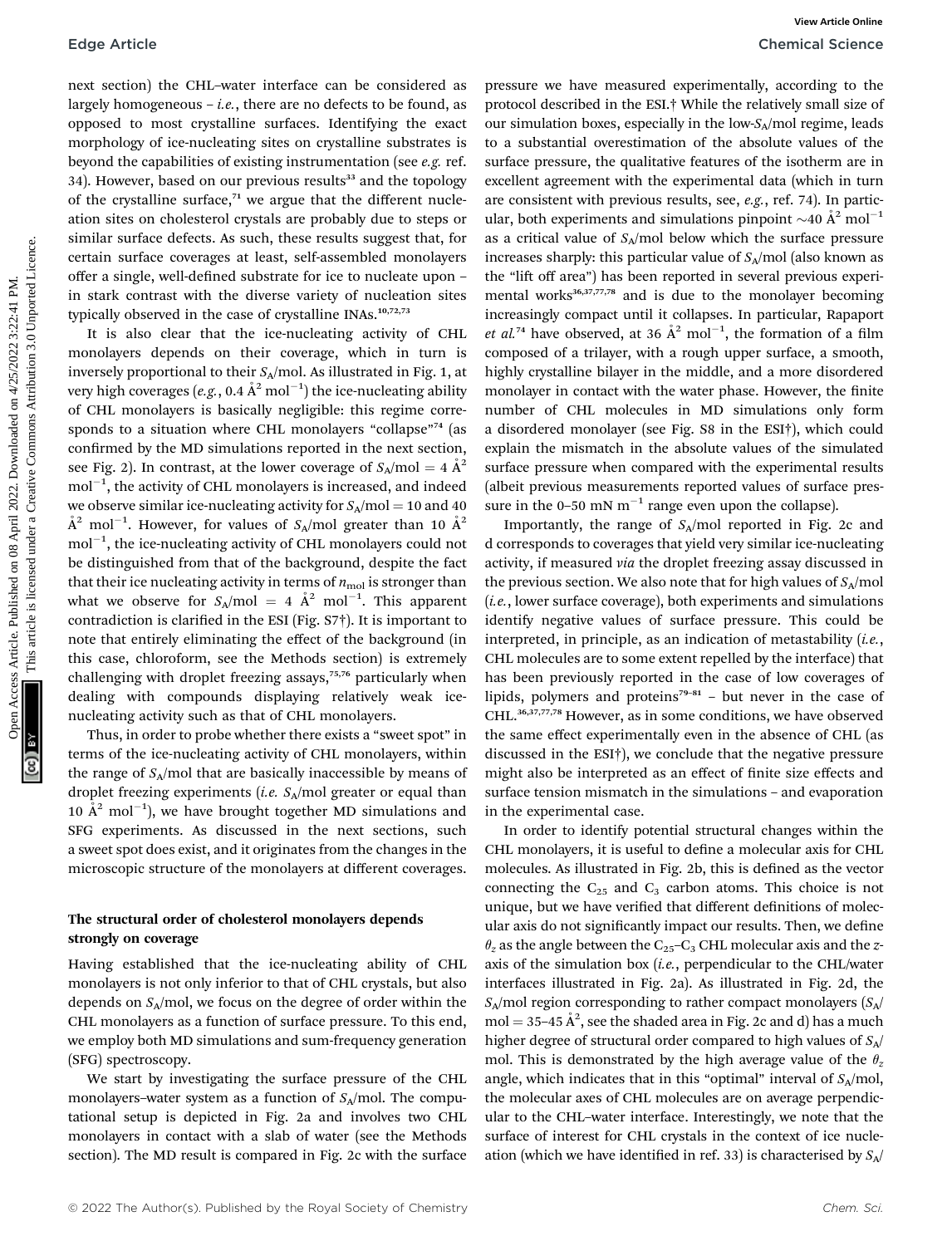next section) the CHL–water interface can be considered as largely homogeneous – *i.e.*, there are no defects to be found, as opposed to most crystalline surfaces. Identifying the exact morphology of ice-nucleating sites on crystalline substrates is beyond the capabilities of existing instrumentation (see e.g. ref. 34). However, based on our previous results<sup>33</sup> and the topology of the crystalline surface, $71$  we argue that the different nucleation sites on cholesterol crystals are probably due to steps or similar surface defects. As such, these results suggest that, for certain surface coverages at least, self-assembled monolayers offer a single, well-defined substrate for ice to nucleate upon – in stark contrast with the diverse variety of nucleation sites typically observed in the case of crystalline INAs.<sup>10,72,73</sup>

It is also clear that the ice-nucleating activity of CHL monolayers depends on their coverage, which in turn is inversely proportional to their  $S_A$ /mol. As illustrated in Fig. 1, at very high coverages (*e.g*., 0.4  $\rm \AA^2$  mol $^{-1})$  the ice-nucleating ability of CHL monolayers is basically negligible: this regime corresponds to a situation where CHL monolayers "collapse"<sup>74</sup> (as confirmed by the MD simulations reported in the next section, see Fig. 2). In contrast, at the lower coverage of  $S_A/mol = 4 \text{ Å}^2$  $\mathrm{mol}^{-1},$  the activity of CHL monolayers is increased, and indeed we observe similar ice-nucleating activity for  $S_A/mol = 10$  and 40  $\AA^2$  mol $^{-1}$ . However, for values of  $S_A/\text{mol}$  greater than 10  $\AA^2$  $\mathrm{mol}^{-1},$  the ice-nucleating activity of CHL monolayers could not be distinguished from that of the background, despite the fact that their ice nucleating activity in terms of  $n_{\text{mol}}$  is stronger than what we observe for  $S_A/\text{mol} = 4 \text{ Å}^2 \text{ mol}^{-1}$ . This apparent contradiction is clarified in the ESI (Fig.  $S7\dagger$ ). It is important to note that entirely eliminating the effect of the background (in this case, chloroform, see the Methods section) is extremely challenging with droplet freezing assays,<sup>75,76</sup> particularly when dealing with compounds displaying relatively weak icenucleating activity such as that of CHL monolayers.

Thus, in order to probe whether there exists a "sweet spot" in terms of the ice-nucleating activity of CHL monolayers, within the range of  $S_A$ /mol that are basically inaccessible by means of droplet freezing experiments (*i.e.*  $S_A$ /mol greater or equal than 10  $\AA^2$  mol<sup>-1</sup>), we have brought together MD simulations and SFG experiments. As discussed in the next sections, such a sweet spot does exist, and it originates from the changes in the microscopic structure of the monolayers at different coverages.

#### The structural order of cholesterol monolayers depends strongly on coverage

Having established that the ice-nucleating ability of CHL monolayers is not only inferior to that of CHL crystals, but also depends on  $S_A$ /mol, we focus on the degree of order within the CHL monolayers as a function of surface pressure. To this end, we employ both MD simulations and sum-frequency generation (SFG) spectroscopy.

We start by investigating the surface pressure of the CHL monolayers–water system as a function of  $S_A$ /mol. The computational setup is depicted in Fig. 2a and involves two CHL monolayers in contact with a slab of water (see the Methods section). The MD result is compared in Fig. 2c with the surface

pressure we have measured experimentally, according to the protocol described in the ESI.† While the relatively small size of our simulation boxes, especially in the low- $S_A$ /mol regime, leads to a substantial overestimation of the absolute values of the surface pressure, the qualitative features of the isotherm are in excellent agreement with the experimental data (which in turn are consistent with previous results, see, e.g., ref. 74). In particular, both experiments and simulations pinpoint  $\sim 40 \text{ Å}^2 \text{ mol}^{-1}$ as a critical value of  $S_A$ /mol below which the surface pressure increases sharply: this particular value of  $S_A$ /mol (also known as the "lift off area") has been reported in several previous experimental works<sup>36,37,77,78</sup> and is due to the monolayer becoming increasingly compact until it collapses. In particular, Rapaport *et al.*<sup>74</sup> have observed, at 36  $\AA$ <sup>2</sup> mol<sup>-1</sup>, the formation of a film composed of a trilayer, with a rough upper surface, a smooth, highly crystalline bilayer in the middle, and a more disordered monolayer in contact with the water phase. However, the finite number of CHL molecules in MD simulations only form a disordered monolayer (see Fig. S8 in the ESI†), which could explain the mismatch in the absolute values of the simulated surface pressure when compared with the experimental results (albeit previous measurements reported values of surface pressure in the 0–50 mN  $m^{-1}$  range even upon the collapse). Edge Article Comparison (i.e. The comparison of the comparison of the comparison of the comparison of the comparison of the comparison of the comparison of the common size of the common size of the common size of the comm

Importantly, the range of  $S_A$ /mol reported in Fig. 2c and d corresponds to coverages that yield very similar ice-nucleating activity, if measured via the droplet freezing assay discussed in the previous section. We also note that for high values of  $S_A$ /mol (i.e., lower surface coverage), both experiments and simulations identify negative values of surface pressure. This could be interpreted, in principle, as an indication of metastability  $(i.e.,$ CHL molecules are to some extent repelled by the interface) that has been previously reported in the case of low coverages of lipids, polymers and proteins<sup>79-81</sup> – but never in the case of CHL.36,37,77,78 However, as in some conditions, we have observed the same effect experimentally even in the absence of CHL (as discussed in the ESI†), we conclude that the negative pressure might also be interpreted as an effect of finite size effects and surface tension mismatch in the simulations – and evaporation in the experimental case.

In order to identify potential structural changes within the CHL monolayers, it is useful to define a molecular axis for CHL molecules. As illustrated in Fig. 2b, this is defined as the vector connecting the  $C_{25}$  and  $C_3$  carbon atoms. This choice is not unique, but we have verified that different definitions of molecular axis do not significantly impact our results. Then, we define  $\theta_z$  as the angle between the C<sub>25</sub>–C<sub>3</sub> CHL molecular axis and the zaxis of the simulation box  $(i.e.,$  perpendicular to the CHL/water interfaces illustrated in Fig. 2a). As illustrated in Fig. 2d, the  $S_A$ /mol region corresponding to rather compact monolayers  $(S_A)$  $mol = 35-45 \text{ Å}^2$ , see the shaded area in Fig. 2c and d) has a much higher degree of structural order compared to high values of  $S_A/$ mol. This is demonstrated by the high average value of the  $\theta_z$ angle, which indicates that in this "optimal" interval of  $S_A/mol$ , the molecular axes of CHL molecules are on average perpendicular to the CHL–water interface. Interestingly, we note that the surface of interest for CHL crystals in the context of ice nucleation (which we have identified in ref. 33) is characterised by  $S_A$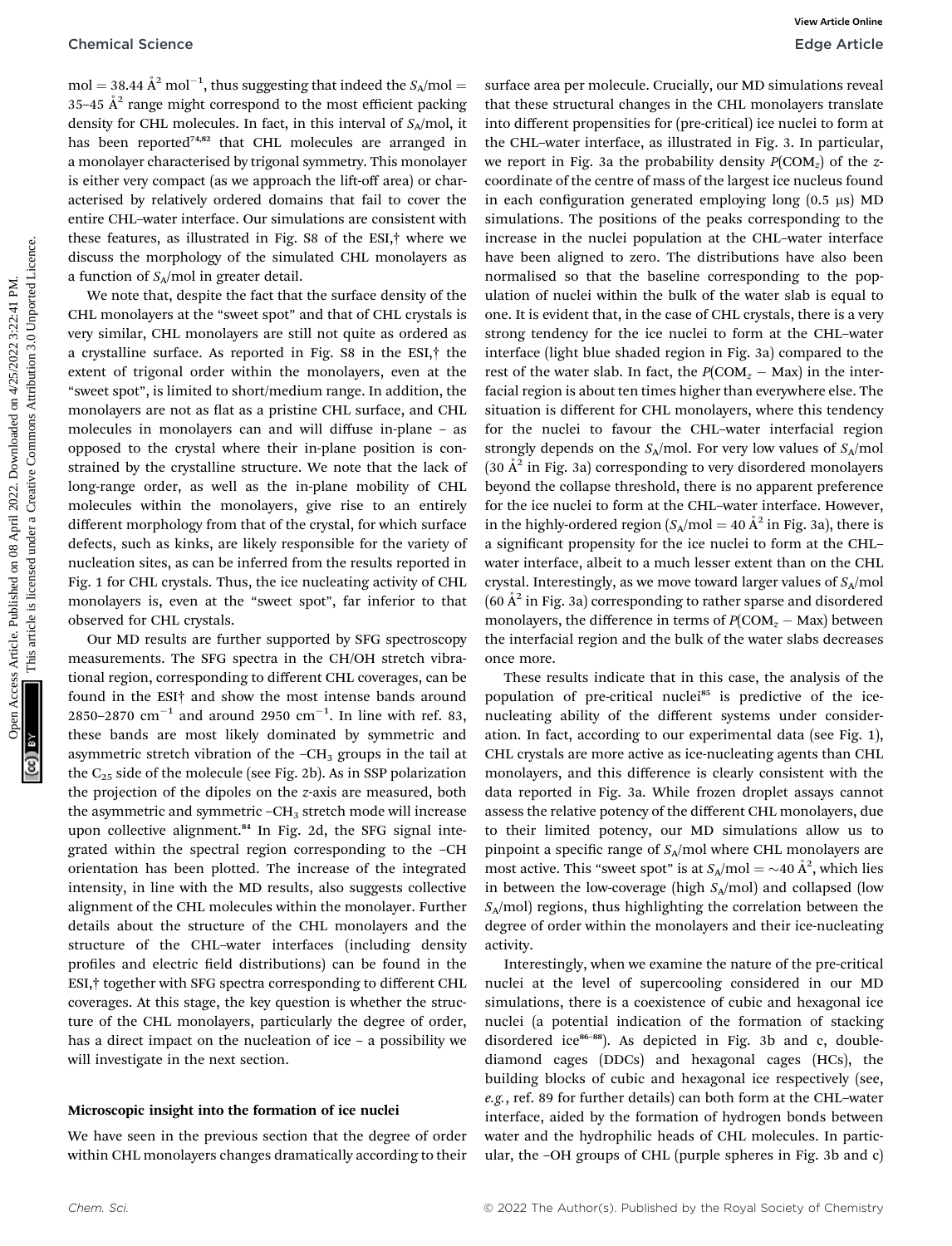$mol = 38.44 \text{ Å}^2 \text{ mol}^{-1}$ , thus suggesting that indeed the  $S_A/mol =$ 35–45  $A^2$  range might correspond to the most efficient packing density for CHL molecules. In fact, in this interval of  $S_A$ /mol, it has been reported<sup>74,82</sup> that CHL molecules are arranged in a monolayer characterised by trigonal symmetry. This monolayer is either very compact (as we approach the lift-off area) or characterised by relatively ordered domains that fail to cover the entire CHL–water interface. Our simulations are consistent with these features, as illustrated in Fig. S8 of the ESI,† where we discuss the morphology of the simulated CHL monolayers as a function of  $S_A$ /mol in greater detail.

We note that, despite the fact that the surface density of the CHL monolayers at the "sweet spot" and that of CHL crystals is very similar, CHL monolayers are still not quite as ordered as a crystalline surface. As reported in Fig. S8 in the ESI,† the extent of trigonal order within the monolayers, even at the "sweet spot", is limited to short/medium range. In addition, the monolayers are not as flat as a pristine CHL surface, and CHL molecules in monolayers can and will diffuse in-plane – as opposed to the crystal where their in-plane position is constrained by the crystalline structure. We note that the lack of long-range order, as well as the in-plane mobility of CHL molecules within the monolayers, give rise to an entirely different morphology from that of the crystal, for which surface defects, such as kinks, are likely responsible for the variety of nucleation sites, as can be inferred from the results reported in Fig. 1 for CHL crystals. Thus, the ice nucleating activity of CHL monolayers is, even at the "sweet spot", far inferior to that observed for CHL crystals.

Our MD results are further supported by SFG spectroscopy measurements. The SFG spectra in the CH/OH stretch vibrational region, corresponding to different CHL coverages, can be found in the ESI† and show the most intense bands around 2850–2870  $\text{cm}^{-1}$  and around 2950  $\text{cm}^{-1}$ . In line with ref. 83, these bands are most likely dominated by symmetric and asymmetric stretch vibration of the  $-CH<sub>3</sub>$  groups in the tail at the  $C_{25}$  side of the molecule (see Fig. 2b). As in SSP polarization the projection of the dipoles on the z-axis are measured, both the asymmetric and symmetric  $-CH<sub>3</sub>$  stretch mode will increase upon collective alignment.<sup>84</sup> In Fig. 2d, the SFG signal integrated within the spectral region corresponding to the –CH orientation has been plotted. The increase of the integrated intensity, in line with the MD results, also suggests collective alignment of the CHL molecules within the monolayer. Further details about the structure of the CHL monolayers and the structure of the CHL–water interfaces (including density profiles and electric field distributions) can be found in the ESI,† together with SFG spectra corresponding to different CHL coverages. At this stage, the key question is whether the structure of the CHL monolayers, particularly the degree of order, has a direct impact on the nucleation of ice – a possibility we will investigate in the next section.

#### Microscopic insight into the formation of ice nuclei

We have seen in the previous section that the degree of order within CHL monolayers changes dramatically according to their

surface area per molecule. Crucially, our MD simulations reveal that these structural changes in the CHL monolayers translate into different propensities for (pre-critical) ice nuclei to form at the CHL–water interface, as illustrated in Fig. 3. In particular, we report in Fig. 3a the probability density  $P(COM<sub>z</sub>)$  of the zcoordinate of the centre of mass of the largest ice nucleus found in each configuration generated employing long  $(0.5 \mu s)$  MD simulations. The positions of the peaks corresponding to the increase in the nuclei population at the CHL–water interface have been aligned to zero. The distributions have also been normalised so that the baseline corresponding to the population of nuclei within the bulk of the water slab is equal to one. It is evident that, in the case of CHL crystals, there is a very strong tendency for the ice nuclei to form at the CHL–water interface (light blue shaded region in Fig. 3a) compared to the rest of the water slab. In fact, the  $P(COM_z - Max)$  in the interfacial region is about ten times higher than everywhere else. The situation is different for CHL monolayers, where this tendency for the nuclei to favour the CHL–water interfacial region strongly depends on the  $S_A$ /mol. For very low values of  $S_A$ /mol  $(30 \text{ Å}^2 \text{ in Fig. 3a})$  corresponding to very disordered monolayers beyond the collapse threshold, there is no apparent preference for the ice nuclei to form at the CHL–water interface. However, in the highly-ordered region  $(S_A/mol = 40 \text{ Å}^2 \text{ in Fig. 3a})$ , there is a significant propensity for the ice nuclei to form at the CHLwater interface, albeit to a much lesser extent than on the CHL crystal. Interestingly, as we move toward larger values of  $S_A$ /mol  $(60 \text{ Å}^2 \text{ in Fig. 3a})$  corresponding to rather sparse and disordered monolayers, the difference in terms of  $P(COM_z - Max)$  between the interfacial region and the bulk of the water slabs decreases once more. Chemical Science<br>
One Action and 2022. The published on the published on the published on the published on the published on the published on the published on the CHL commonline in the CHL commonline in the CHL commonline

These results indicate that in this case, the analysis of the population of pre-critical nuclei<sup>85</sup> is predictive of the icenucleating ability of the different systems under consideration. In fact, according to our experimental data (see Fig. 1), CHL crystals are more active as ice-nucleating agents than CHL monolayers, and this difference is clearly consistent with the data reported in Fig. 3a. While frozen droplet assays cannot assess the relative potency of the different CHL monolayers, due to their limited potency, our MD simulations allow us to pinpoint a specific range of  $S_A$ /mol where CHL monolayers are most active. This "sweet spot" is at  $S_A/\text{mol} = \sim 40 \text{ Å}^2$ , which lies in between the low-coverage (high  $S_A/mol$ ) and collapsed (low  $S_A$ /mol) regions, thus highlighting the correlation between the degree of order within the monolayers and their ice-nucleating activity.

Interestingly, when we examine the nature of the pre-critical nuclei at the level of supercooling considered in our MD simulations, there is a coexistence of cubic and hexagonal ice nuclei (a potential indication of the formation of stacking disordered ice<sup>86-88</sup>). As depicted in Fig. 3b and c, doublediamond cages (DDCs) and hexagonal cages (HCs), the building blocks of cubic and hexagonal ice respectively (see, e.g., ref. 89 for further details) can both form at the CHL–water interface, aided by the formation of hydrogen bonds between water and the hydrophilic heads of CHL molecules. In particular, the –OH groups of CHL (purple spheres in Fig. 3b and c)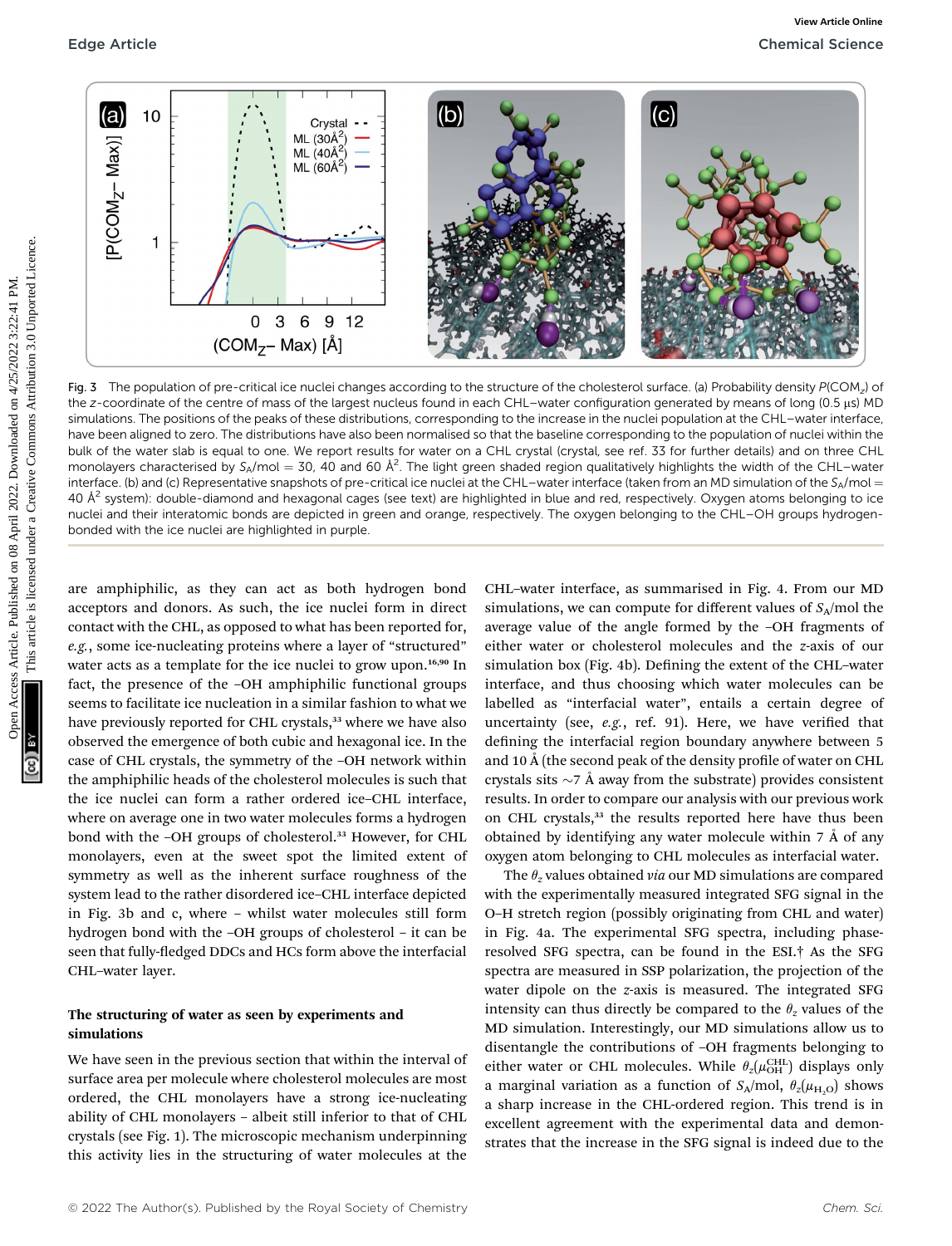

Fig. 3 The population of pre-critical ice nuclei changes according to the structure of the cholesterol surface. (a) Probability density  $P(COM<sub>z</sub>)$  of the z-coordinate of the centre of mass of the largest nucleus found in each CHL–water configuration generated by means of long (0.5 µs) MD simulations. The positions of the peaks of these distributions, corresponding to the increase in the nuclei population at the CHL–water interface, have been aligned to zero. The distributions have also been normalised so that the baseline corresponding to the population of nuclei within the bulk of the water slab is equal to one. We report results for water on a CHL crystal (crystal, see ref. 33 for further details) and on three CHL monolayers characterised by S<sub>A</sub>/mol = 30, 40 and 60 Å<sup>2</sup>. The light green shaded region qualitatively highlights the width of the CHL–water interface. (b) and (c) Representative snapshots of pre-critical ice nuclei at the CHL-water interface (taken from an MD simulation of the SA/mol = 40  $A<sup>2</sup>$  system): double-diamond and hexagonal cages (see text) are highlighted in blue and red, respectively. Oxygen atoms belonging to ice nuclei and their interatomic bonds are depicted in green and orange, respectively. The oxygen belonging to the CHL–OH groups hydrogenbonded with the ice nuclei are highlighted in purple.

are amphiphilic, as they can act as both hydrogen bond acceptors and donors. As such, the ice nuclei form in direct contact with the CHL, as opposed to what has been reported for, e.g., some ice-nucleating proteins where a layer of "structured" water acts as a template for the ice nuclei to grow upon.<sup>16,90</sup> In fact, the presence of the –OH amphiphilic functional groups seems to facilitate ice nucleation in a similar fashion to what we have previously reported for CHL crystals,<sup>33</sup> where we have also observed the emergence of both cubic and hexagonal ice. In the case of CHL crystals, the symmetry of the –OH network within the amphiphilic heads of the cholesterol molecules is such that the ice nuclei can form a rather ordered ice–CHL interface, where on average one in two water molecules forms a hydrogen bond with the -OH groups of cholesterol.<sup>33</sup> However, for CHL monolayers, even at the sweet spot the limited extent of symmetry as well as the inherent surface roughness of the system lead to the rather disordered ice–CHL interface depicted in Fig. 3b and c, where – whilst water molecules still form hydrogen bond with the –OH groups of cholesterol – it can be seen that fully-fledged DDCs and HCs form above the interfacial CHL–water layer.

#### The structuring of water as seen by experiments and simulations

We have seen in the previous section that within the interval of surface area per molecule where cholesterol molecules are most ordered, the CHL monolayers have a strong ice-nucleating ability of CHL monolayers – albeit still inferior to that of CHL crystals (see Fig. 1). The microscopic mechanism underpinning this activity lies in the structuring of water molecules at the

CHL–water interface, as summarised in Fig. 4. From our MD simulations, we can compute for different values of  $S_A$ /mol the average value of the angle formed by the –OH fragments of either water or cholesterol molecules and the z-axis of our simulation box (Fig. 4b). Defining the extent of the CHL-water interface, and thus choosing which water molecules can be labelled as "interfacial water", entails a certain degree of uncertainty (see,  $e.g.,$  ref. 91). Here, we have verified that defining the interfacial region boundary anywhere between 5 and 10  $\AA$  (the second peak of the density profile of water on CHL crystals sits  $\sim$ 7 Å away from the substrate) provides consistent results. In order to compare our analysis with our previous work on CHL crystals,<sup>33</sup> the results reported here have thus been obtained by identifying any water molecule within  $7 \text{ Å}$  of any oxygen atom belonging to CHL molecules as interfacial water.

The  $\theta$ <sub>z</sub> values obtained *via* our MD simulations are compared with the experimentally measured integrated SFG signal in the O–H stretch region (possibly originating from CHL and water) in Fig. 4a. The experimental SFG spectra, including phaseresolved SFG spectra, can be found in the ESI.† As the SFG spectra are measured in SSP polarization, the projection of the water dipole on the z-axis is measured. The integrated SFG intensity can thus directly be compared to the  $\theta_z$  values of the MD simulation. Interestingly, our MD simulations allow us to disentangle the contributions of –OH fragments belonging to either water or CHL molecules. While  $\theta_z(\mu_{\text{OH}}^{\text{CHL}})$  displays only a marginal variation as a function of  $S_A/mol$ ,  $\theta_z(\mu_{H,Q})$  shows a sharp increase in the CHL-ordered region. This trend is in excellent agreement with the experimental data and demonstrates that the increase in the SFG signal is indeed due to the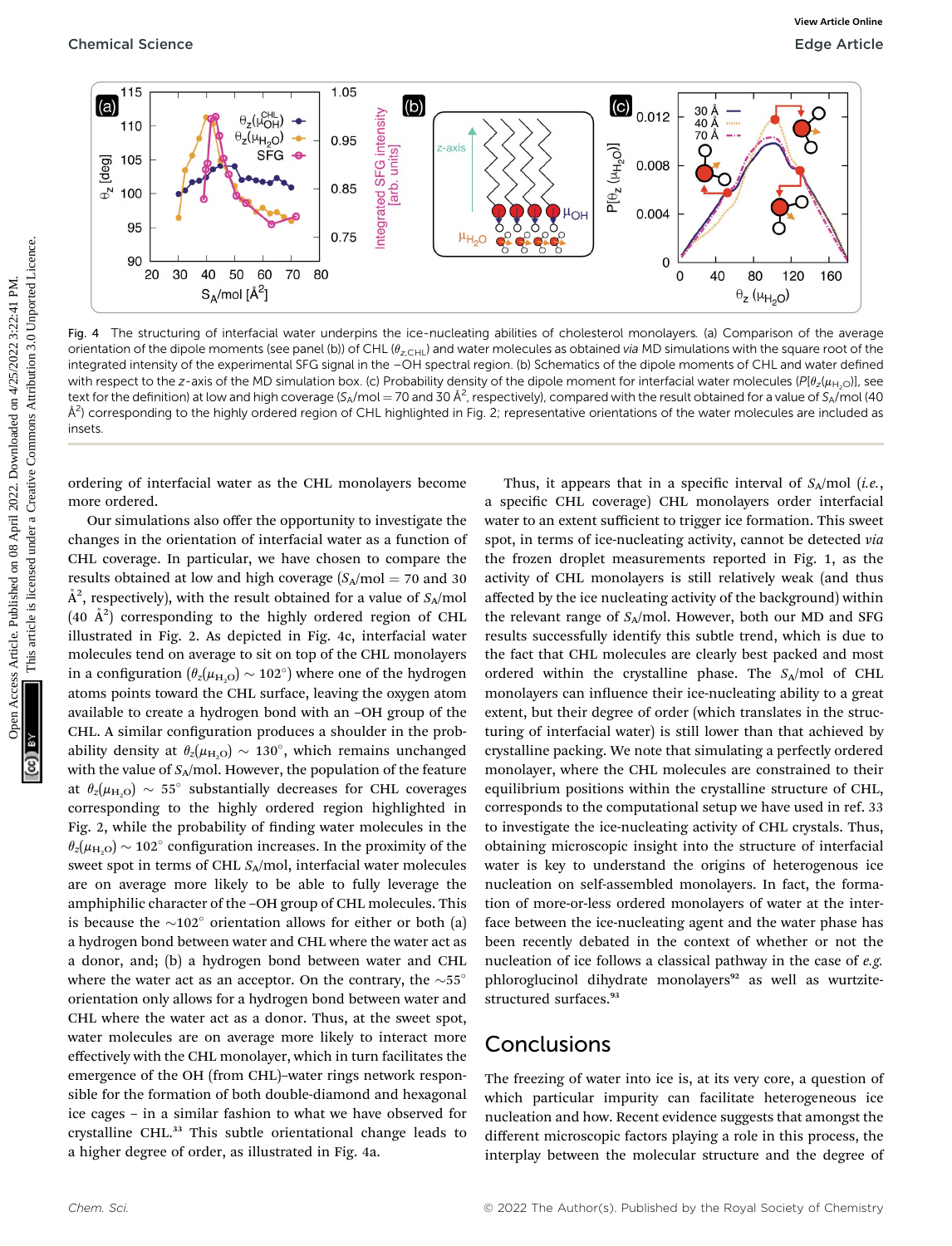

Fig. 4 The structuring of interfacial water underpins the ice-nucleating abilities of cholesterol monolayers. (a) Comparison of the average orientation of the dipole moments (see panel (b)) of CHL ( $\theta_{z,CHL}$ ) and water molecules as obtained via MD simulations with the square root of the integrated intensity of the experimental SFG signal in the –OH spectral region. (b) Schematics of the dipole moments of CHL and water defined with respect to the z-axis of the MD simulation box. (c) Probability density of the dipole moment for interfacial water molecules ( $Pl_{2}(\mu_{H<sub>10</sub>})$ ], see text for the definition) at low and high coverage (S<sub>A</sub>/mol = 70 and 30 Å<sup>2</sup>, respectively), compared with the result obtained for a value of S<sub>A</sub>/mol (40  $\AA^2$ ) corresponding to the highly ordered region of CHL highlighted in Fig. 2; representative orientations of the water molecules are included as insets.

ordering of interfacial water as the CHL monolayers become more ordered.

Our simulations also offer the opportunity to investigate the changes in the orientation of interfacial water as a function of CHL coverage. In particular, we have chosen to compare the results obtained at low and high coverage  $(S_A/mol = 70$  and 30  $\AA^2$ , respectively), with the result obtained for a value of  $S_A/\rm{mol}$  $(40 \text{ Å}^2)$  corresponding to the highly ordered region of CHL illustrated in Fig. 2. As depicted in Fig. 4c, interfacial water molecules tend on average to sit on top of the CHL monolayers in a configuration ( $\theta_z(\mu_{H,O}) \sim 102^\circ$ ) where one of the hydrogen atoms points toward the CHL surface, leaving the oxygen atom available to create a hydrogen bond with an –OH group of the CHL. A similar configuration produces a shoulder in the probability density at  $\theta_z(\mu_{H,Q}) \sim 130^\circ$ , which remains unchanged with the value of  $S_A$ /mol. However, the population of the feature at  $\theta_z(\mu_{H,O}) \sim 55^\circ$  substantially decreases for CHL coverages corresponding to the highly ordered region highlighted in Fig. 2, while the probability of finding water molecules in the  $\theta_z(\mu_{\rm H, O}) \sim 102^\circ$  configuration increases. In the proximity of the sweet spot in terms of CHL  $S_A$ /mol, interfacial water molecules are on average more likely to be able to fully leverage the amphiphilic character of the –OH group of CHL molecules. This is because the  $\sim$ 102 $^{\circ}$  orientation allows for either or both (a) a hydrogen bond between water and CHL where the water act as a donor, and; (b) a hydrogen bond between water and CHL where the water act as an acceptor. On the contrary, the  $\sim$ 55° orientation only allows for a hydrogen bond between water and CHL where the water act as a donor. Thus, at the sweet spot, water molecules are on average more likely to interact more effectively with the CHL monolayer, which in turn facilitates the emergence of the OH (from CHL)–water rings network responsible for the formation of both double-diamond and hexagonal ice cages – in a similar fashion to what we have observed for crystalline CHL.<sup>33</sup> This subtle orientational change leads to a higher degree of order, as illustrated in Fig. 4a.

Thus, it appears that in a specific interval of  $S_A/mol$  (*i.e.*, a specific CHL coverage) CHL monolayers order interfacial water to an extent sufficient to trigger ice formation. This sweet spot, in terms of ice-nucleating activity, cannot be detected via the frozen droplet measurements reported in Fig. 1, as the activity of CHL monolayers is still relatively weak (and thus affected by the ice nucleating activity of the background) within the relevant range of  $S_A$ /mol. However, both our MD and SFG results successfully identify this subtle trend, which is due to the fact that CHL molecules are clearly best packed and most ordered within the crystalline phase. The  $S_A$ /mol of CHL monolayers can influence their ice-nucleating ability to a great extent, but their degree of order (which translates in the structuring of interfacial water) is still lower than that achieved by crystalline packing. We note that simulating a perfectly ordered monolayer, where the CHL molecules are constrained to their equilibrium positions within the crystalline structure of CHL, corresponds to the computational setup we have used in ref. 33 to investigate the ice-nucleating activity of CHL crystals. Thus, obtaining microscopic insight into the structure of interfacial water is key to understand the origins of heterogenous ice nucleation on self-assembled monolayers. In fact, the formation of more-or-less ordered monolayers of water at the interface between the ice-nucleating agent and the water phase has been recently debated in the context of whether or not the nucleation of ice follows a classical pathway in the case of e.g. phloroglucinol dihydrate monolayers<sup>92</sup> as well as wurtzitestructured surfaces.<sup>93</sup>

### Conclusions

The freezing of water into ice is, at its very core, a question of which particular impurity can facilitate heterogeneous ice nucleation and how. Recent evidence suggests that amongst the different microscopic factors playing a role in this process, the interplay between the molecular structure and the degree of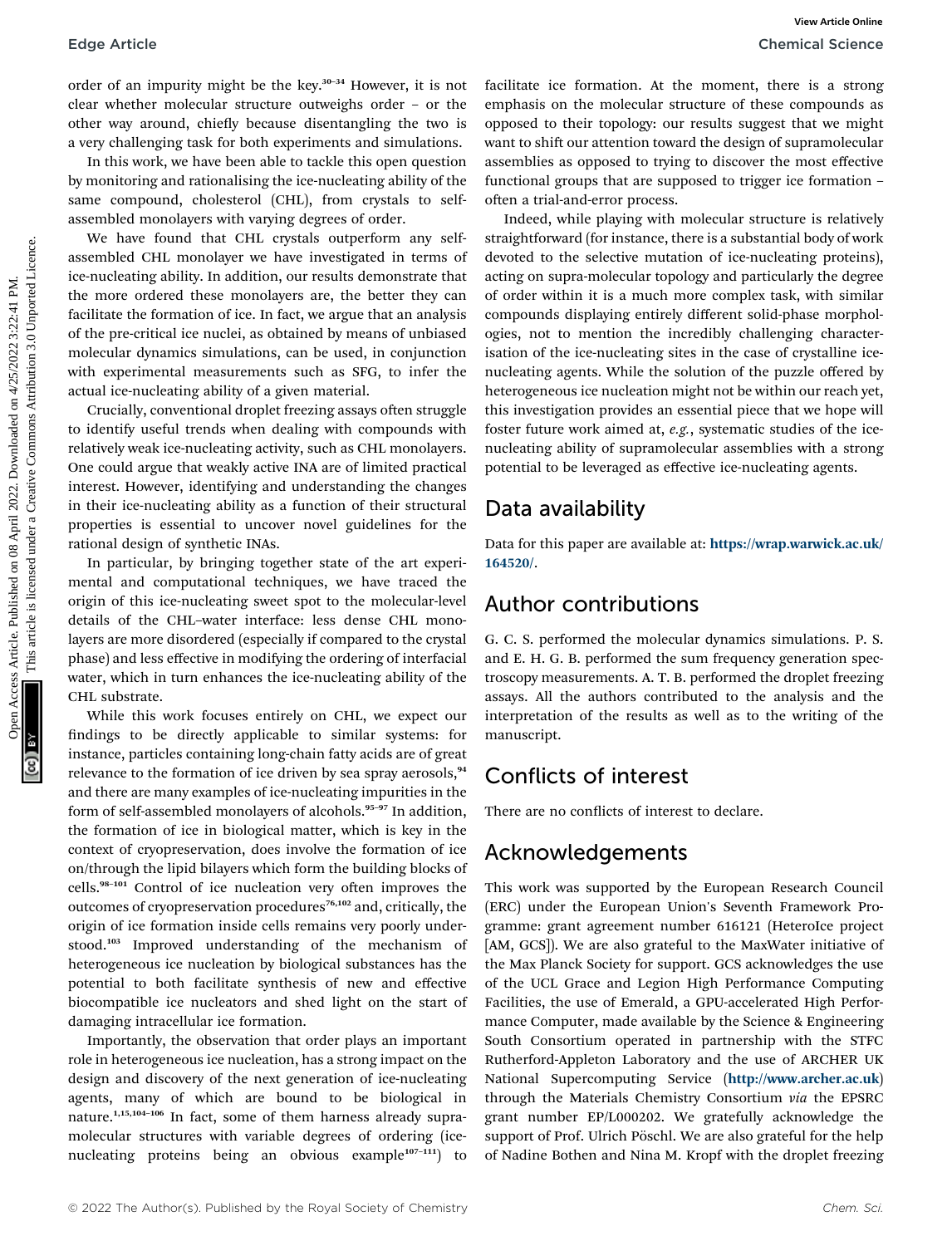order of an impurity might be the key.<sup>30-34</sup> However, it is not clear whether molecular structure outweighs order – or the other way around, chiefly because disentangling the two is a very challenging task for both experiments and simulations.

In this work, we have been able to tackle this open question by monitoring and rationalising the ice-nucleating ability of the same compound, cholesterol (CHL), from crystals to selfassembled monolayers with varying degrees of order.

We have found that CHL crystals outperform any selfassembled CHL monolayer we have investigated in terms of ice-nucleating ability. In addition, our results demonstrate that the more ordered these monolayers are, the better they can facilitate the formation of ice. In fact, we argue that an analysis of the pre-critical ice nuclei, as obtained by means of unbiased molecular dynamics simulations, can be used, in conjunction with experimental measurements such as SFG, to infer the actual ice-nucleating ability of a given material.

Crucially, conventional droplet freezing assays often struggle to identify useful trends when dealing with compounds with relatively weak ice-nucleating activity, such as CHL monolayers. One could argue that weakly active INA are of limited practical interest. However, identifying and understanding the changes in their ice-nucleating ability as a function of their structural properties is essential to uncover novel guidelines for the rational design of synthetic INAs.

In particular, by bringing together state of the art experimental and computational techniques, we have traced the origin of this ice-nucleating sweet spot to the molecular-level details of the CHL–water interface: less dense CHL monolayers are more disordered (especially if compared to the crystal phase) and less effective in modifying the ordering of interfacial water, which in turn enhances the ice-nucleating ability of the CHL substrate.

While this work focuses entirely on CHL, we expect our ndings to be directly applicable to similar systems: for instance, particles containing long-chain fatty acids are of great relevance to the formation of ice driven by sea spray aerosols,<sup>94</sup> and there are many examples of ice-nucleating impurities in the form of self-assembled monolayers of alcohols.<sup>95-97</sup> In addition, the formation of ice in biological matter, which is key in the context of cryopreservation, does involve the formation of ice on/through the lipid bilayers which form the building blocks of cells.<sup>98-101</sup> Control of ice nucleation very often improves the outcomes of cryopreservation procedures<sup>76,102</sup> and, critically, the origin of ice formation inside cells remains very poorly understood.<sup>103</sup> Improved understanding of the mechanism of heterogeneous ice nucleation by biological substances has the potential to both facilitate synthesis of new and effective biocompatible ice nucleators and shed light on the start of damaging intracellular ice formation.

Importantly, the observation that order plays an important role in heterogeneous ice nucleation, has a strong impact on the design and discovery of the next generation of ice-nucleating agents, many of which are bound to be biological in nature.1,15,104–<sup>106</sup> In fact, some of them harness already supramolecular structures with variable degrees of ordering (icenucleating proteins being an obvious example<sup>107-111</sup>) to

facilitate ice formation. At the moment, there is a strong emphasis on the molecular structure of these compounds as opposed to their topology: our results suggest that we might want to shift our attention toward the design of supramolecular assemblies as opposed to trying to discover the most effective functional groups that are supposed to trigger ice formation – often a trial-and-error process.

Indeed, while playing with molecular structure is relatively straightforward (for instance, there is a substantial body of work devoted to the selective mutation of ice-nucleating proteins), acting on supra-molecular topology and particularly the degree of order within it is a much more complex task, with similar compounds displaying entirely different solid-phase morphologies, not to mention the incredibly challenging characterisation of the ice-nucleating sites in the case of crystalline icenucleating agents. While the solution of the puzzle offered by heterogeneous ice nucleation might not be within our reach yet, this investigation provides an essential piece that we hope will foster future work aimed at, e.g., systematic studies of the icenucleating ability of supramolecular assemblies with a strong potential to be leveraged as effective ice-nucleating agents. Edge Article<br>
on order of an inquirity might he the key.<sup>33</sup> However, it is not complete so correlate and the complete source where the complete and the complete source of the complete and the complete and the complete and

## Data availability

Data for this paper are available at: [https://wrap.warwick.ac.uk/](https://wrap.warwick.ac.uk/164520/) [164520/](https://wrap.warwick.ac.uk/164520/).

## Author contributions

G. C. S. performed the molecular dynamics simulations. P. S. and E. H. G. B. performed the sum frequency generation spectroscopy measurements. A. T. B. performed the droplet freezing assays. All the authors contributed to the analysis and the interpretation of the results as well as to the writing of the manuscript.

## Conflicts of interest

There are no conflicts of interest to declare.

### Acknowledgements

This work was supported by the European Research Council (ERC) under the European Union's Seventh Framework Programme: grant agreement number 616121 (HeteroIce project [AM, GCS]). We are also grateful to the MaxWater initiative of the Max Planck Society for support. GCS acknowledges the use of the UCL Grace and Legion High Performance Computing Facilities, the use of Emerald, a GPU-accelerated High Performance Computer, made available by the Science & Engineering South Consortium operated in partnership with the STFC Rutherford-Appleton Laboratory and the use of ARCHER UK National Supercomputing Service (<http://www.archer.ac.uk>) through the Materials Chemistry Consortium via the EPSRC grant number EP/L000202. We gratefully acknowledge the support of Prof. Ulrich Pöschl. We are also grateful for the help of Nadine Bothen and Nina M. Kropf with the droplet freezing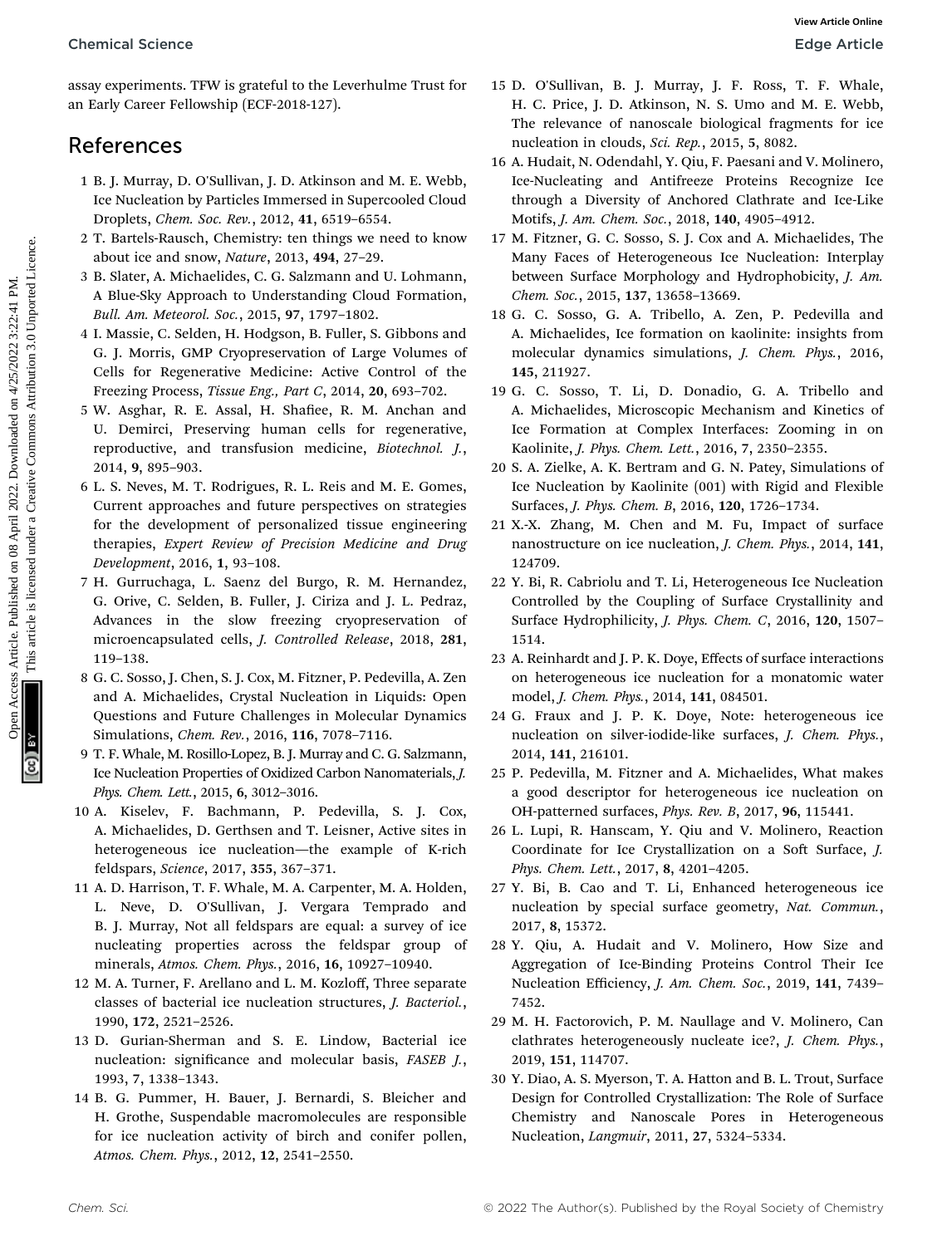assay experiments. TFW is grateful to the Leverhulme Trust for an Early Career Fellowship (ECF-2018-127).

## References

- 1 B. J. Murray, D. O'Sullivan, J. D. Atkinson and M. E. Webb, Ice Nucleation by Particles Immersed in Supercooled Cloud Droplets, Chem. Soc. Rev., 2012, 41, 6519–6554.
- 2 T. Bartels-Rausch, Chemistry: ten things we need to know about ice and snow, Nature, 2013, 494, 27–29.
- 3 B. Slater, A. Michaelides, C. G. Salzmann and U. Lohmann, A Blue-Sky Approach to Understanding Cloud Formation, Bull. Am. Meteorol. Soc., 2015, 97, 1797–1802.
- 4 I. Massie, C. Selden, H. Hodgson, B. Fuller, S. Gibbons and G. J. Morris, GMP Cryopreservation of Large Volumes of Cells for Regenerative Medicine: Active Control of the Freezing Process, Tissue Eng., Part C, 2014, 20, 693–702.
- 5 W. Asghar, R. E. Assal, H. Shafiee, R. M. Anchan and U. Demirci, Preserving human cells for regenerative, reproductive, and transfusion medicine, Biotechnol. J., 2014, 9, 895–903.
- 6 L. S. Neves, M. T. Rodrigues, R. L. Reis and M. E. Gomes, Current approaches and future perspectives on strategies for the development of personalized tissue engineering therapies, Expert Review of Precision Medicine and Drug Development, 2016, 1, 93–108. Chemical Science<br>
State Article are the state of the state of the state of the state are the state of the state of the state of the state of the state of the state of the state of the state of the state of the state of th
	- 7 H. Gurruchaga, L. Saenz del Burgo, R. M. Hernandez, G. Orive, C. Selden, B. Fuller, J. Ciriza and J. L. Pedraz, Advances in the slow freezing cryopreservation of microencapsulated cells, J. Controlled Release, 2018, 281, 119–138.
	- 8 G. C. Sosso, J. Chen, S. J. Cox, M. Fitzner, P. Pedevilla, A. Zen and A. Michaelides, Crystal Nucleation in Liquids: Open Questions and Future Challenges in Molecular Dynamics Simulations, Chem. Rev., 2016, 116, 7078–7116.
	- 9 T. F. Whale, M. Rosillo-Lopez, B. J. Murray and C. G. Salzmann, Ice Nucleation Properties of Oxidized Carbon Nanomaterials, J. Phys. Chem. Lett., 2015, 6, 3012–3016.
	- 10 A. Kiselev, F. Bachmann, P. Pedevilla, S. J. Cox, A. Michaelides, D. Gerthsen and T. Leisner, Active sites in heterogeneous ice nucleation—the example of K-rich feldspars, Science, 2017, 355, 367–371.
	- 11 A. D. Harrison, T. F. Whale, M. A. Carpenter, M. A. Holden, L. Neve, D. O'Sullivan, J. Vergara Temprado and B. J. Murray, Not all feldspars are equal: a survey of ice nucleating properties across the feldspar group of minerals, Atmos. Chem. Phys., 2016, 16, 10927–10940.
	- 12 M. A. Turner, F. Arellano and L. M. Kozloff, Three separate classes of bacterial ice nucleation structures, J. Bacteriol., 1990, 172, 2521–2526.
	- 13 D. Gurian-Sherman and S. E. Lindow, Bacterial ice nucleation: significance and molecular basis, FASEB J., 1993, 7, 1338–1343.
	- 14 B. G. Pummer, H. Bauer, J. Bernardi, S. Bleicher and H. Grothe, Suspendable macromolecules are responsible for ice nucleation activity of birch and conifer pollen, Atmos. Chem. Phys., 2012, 12, 2541–2550.
- 15 D. O'Sullivan, B. J. Murray, J. F. Ross, T. F. Whale, H. C. Price, J. D. Atkinson, N. S. Umo and M. E. Webb, The relevance of nanoscale biological fragments for ice nucleation in clouds, Sci. Rep., 2015, 5, 8082.
- 16 A. Hudait, N. Odendahl, Y. Qiu, F. Paesani and V. Molinero, Ice-Nucleating and Antifreeze Proteins Recognize Ice through a Diversity of Anchored Clathrate and Ice-Like Motifs, J. Am. Chem. Soc., 2018, 140, 4905–4912.
- 17 M. Fitzner, G. C. Sosso, S. J. Cox and A. Michaelides, The Many Faces of Heterogeneous Ice Nucleation: Interplay between Surface Morphology and Hydrophobicity, J. Am. Chem. Soc., 2015, 137, 13658–13669.
- 18 G. C. Sosso, G. A. Tribello, A. Zen, P. Pedevilla and A. Michaelides, Ice formation on kaolinite: insights from molecular dynamics simulations, J. Chem. Phys., 2016, 145, 211927.
- 19 G. C. Sosso, T. Li, D. Donadio, G. A. Tribello and A. Michaelides, Microscopic Mechanism and Kinetics of Ice Formation at Complex Interfaces: Zooming in on Kaolinite, J. Phys. Chem. Lett., 2016, 7, 2350–2355.
- 20 S. A. Zielke, A. K. Bertram and G. N. Patey, Simulations of Ice Nucleation by Kaolinite (001) with Rigid and Flexible Surfaces, J. Phys. Chem. B, 2016, 120, 1726–1734.
- 21 X.-X. Zhang, M. Chen and M. Fu, Impact of surface nanostructure on ice nucleation, J. Chem. Phys., 2014, 141, 124709.
- 22 Y. Bi, R. Cabriolu and T. Li, Heterogeneous Ice Nucleation Controlled by the Coupling of Surface Crystallinity and Surface Hydrophilicity, J. Phys. Chem. C, 2016, 120, 1507– 1514.
- 23 A. Reinhardt and J. P. K. Doye, Effects of surface interactions on heterogeneous ice nucleation for a monatomic water model, J. Chem. Phys., 2014, 141, 084501.
- 24 G. Fraux and J. P. K. Doye, Note: heterogeneous ice nucleation on silver-iodide-like surfaces, J. Chem. Phys., 2014, 141, 216101.
- 25 P. Pedevilla, M. Fitzner and A. Michaelides, What makes a good descriptor for heterogeneous ice nucleation on OH-patterned surfaces, Phys. Rev. B, 2017, 96, 115441.
- 26 L. Lupi, R. Hanscam, Y. Qiu and V. Molinero, Reaction Coordinate for Ice Crystallization on a Soft Surface, J. Phys. Chem. Lett., 2017, 8, 4201–4205.
- 27 Y. Bi, B. Cao and T. Li, Enhanced heterogeneous ice nucleation by special surface geometry, Nat. Commun., 2017, 8, 15372.
- 28 Y. Qiu, A. Hudait and V. Molinero, How Size and Aggregation of Ice-Binding Proteins Control Their Ice Nucleation Efficiency, J. Am. Chem. Soc., 2019, 141, 7439– 7452.
- 29 M. H. Factorovich, P. M. Naullage and V. Molinero, Can clathrates heterogeneously nucleate ice?, J. Chem. Phys., 2019, 151, 114707.
- 30 Y. Diao, A. S. Myerson, T. A. Hatton and B. L. Trout, Surface Design for Controlled Crystallization: The Role of Surface Chemistry and Nanoscale Pores in Heterogeneous Nucleation, Langmuir, 2011, 27, 5324–5334.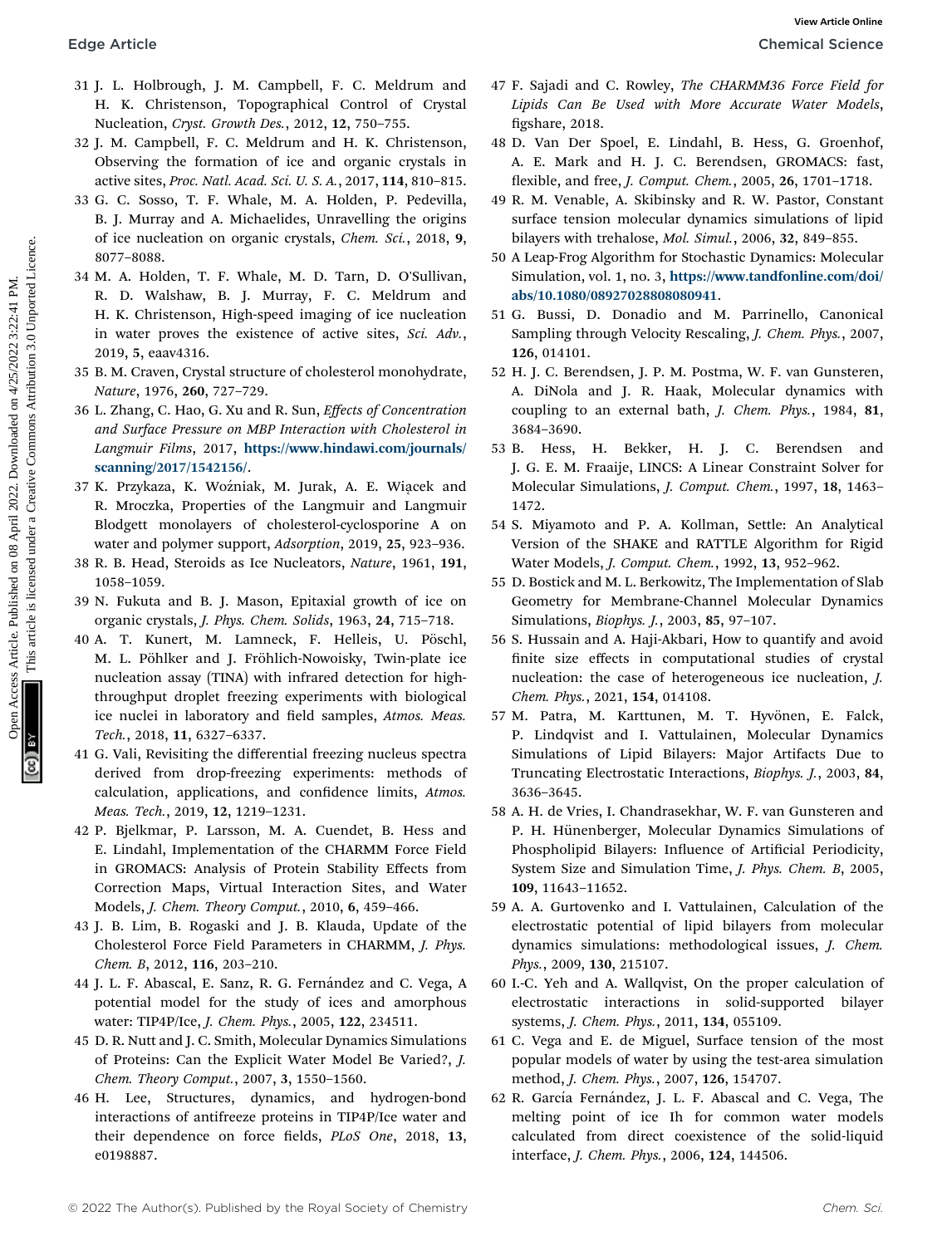- 31 J. L. Holbrough, J. M. Campbell, F. C. Meldrum and H. K. Christenson, Topographical Control of Crystal Nucleation, Cryst. Growth Des., 2012, 12, 750–755.
- 32 J. M. Campbell, F. C. Meldrum and H. K. Christenson, Observing the formation of ice and organic crystals in active sites, Proc. Natl. Acad. Sci. U. S. A., 2017, 114, 810–815.
- 33 G. C. Sosso, T. F. Whale, M. A. Holden, P. Pedevilla, B. J. Murray and A. Michaelides, Unravelling the origins of ice nucleation on organic crystals, Chem. Sci., 2018, 9, 8077–8088.
- 34 M. A. Holden, T. F. Whale, M. D. Tarn, D. O'Sullivan, R. D. Walshaw, B. J. Murray, F. C. Meldrum and H. K. Christenson, High-speed imaging of ice nucleation in water proves the existence of active sites, Sci. Adv., 2019, 5, eaav4316.
- 35 B. M. Craven, Crystal structure of cholesterol monohydrate, Nature, 1976, 260, 727–729.
- 36 L. Zhang, C. Hao, G. Xu and R. Sun, Effects of Concentration and Surface Pressure on MBP Interaction with Cholesterol in Langmuir Films, 2017, [https://www.hindawi.com/journals/](https://www.hindawi.com/journals/scanning/2017/1542156/) [scanning/2017/1542156/](https://www.hindawi.com/journals/scanning/2017/1542156/).
- 37 K. Przykaza, K. Woźniak, M. Jurak, A. E. Wiącek and R. Mroczka, Properties of the Langmuir and Langmuir Blodgett monolayers of cholesterol-cyclosporine A on water and polymer support, Adsorption, 2019, 25, 923–936.
- 38 R. B. Head, Steroids as Ice Nucleators, Nature, 1961, 191, 1058–1059.
- 39 N. Fukuta and B. J. Mason, Epitaxial growth of ice on organic crystals, J. Phys. Chem. Solids, 1963, 24, 715–718.
- 40 A. T. Kunert, M. Lamneck, F. Helleis, U. Pöschl, M. L. Pöhlker and J. Fröhlich-Nowoisky, Twin-plate ice nucleation assay (TINA) with infrared detection for highthroughput droplet freezing experiments with biological ice nuclei in laboratory and field samples, Atmos. Meas. Tech., 2018, 11, 6327–6337. Edge Article Chemetra M. Complexity F. C. Meldum and 47 F. Sajadi and C. Roset with Merican Schemetra Chemetra Chemetra Complexity (1992) (2022) 11. Commons, tropogalized under a policies are a common and the form of Crys
	- 41 G. Vali, Revisiting the differential freezing nucleus spectra derived from drop-freezing experiments: methods of calculation, applications, and confidence limits, Atmos. Meas. Tech., 2019, 12, 1219–1231.
	- 42 P. Bjelkmar, P. Larsson, M. A. Cuendet, B. Hess and E. Lindahl, Implementation of the CHARMM Force Field in GROMACS: Analysis of Protein Stability Effects from Correction Maps, Virtual Interaction Sites, and Water Models, J. Chem. Theory Comput., 2010, 6, 459–466.
	- 43 J. B. Lim, B. Rogaski and J. B. Klauda, Update of the Cholesterol Force Field Parameters in CHARMM, J. Phys. Chem. B, 2012, 116, 203–210.
	- 44 J. L. F. Abascal, E. Sanz, R. G. Fernández and C. Vega, A potential model for the study of ices and amorphous water: TIP4P/Ice, J. Chem. Phys., 2005, 122, 234511.
	- 45 D. R. Nutt and J. C. Smith, Molecular Dynamics Simulations of Proteins: Can the Explicit Water Model Be Varied?, J. Chem. Theory Comput., 2007, 3, 1550–1560.
	- 46 H. Lee, Structures, dynamics, and hydrogen-bond interactions of antifreeze proteins in TIP4P/Ice water and their dependence on force fields, PLoS One, 2018, 13, e0198887.
- 47 F. Sajadi and C. Rowley, The CHARMM36 Force Field for Lipids Can Be Used with More Accurate Water Models, figshare, 2018.
- 48 D. Van Der Spoel, E. Lindahl, B. Hess, G. Groenhof, A. E. Mark and H. J. C. Berendsen, GROMACS: fast, flexible, and free, *J. Comput. Chem.*, 2005, 26, 1701-1718.
- 49 R. M. Venable, A. Skibinsky and R. W. Pastor, Constant surface tension molecular dynamics simulations of lipid bilayers with trehalose, Mol. Simul., 2006, 32, 849–855.
- 50 A Leap-Frog Algorithm for Stochastic Dynamics: Molecular Simulation, vol. 1, no. 3, [https://www.tandfonline.com/doi/](https://www.tandfonline.com/doi/abs/10.1080/08927028808080941) [abs/10.1080/08927028808080941](https://www.tandfonline.com/doi/abs/10.1080/08927028808080941).
- 51 G. Bussi, D. Donadio and M. Parrinello, Canonical Sampling through Velocity Rescaling, J. Chem. Phys., 2007, 126, 014101.
- 52 H. J. C. Berendsen, J. P. M. Postma, W. F. van Gunsteren, A. DiNola and J. R. Haak, Molecular dynamics with coupling to an external bath, J. Chem. Phys., 1984, 81, 3684–3690.
- 53 B. Hess, H. Bekker, H. J. C. Berendsen and J. G. E. M. Fraaije, LINCS: A Linear Constraint Solver for Molecular Simulations, J. Comput. Chem., 1997, 18, 1463– 1472.
- 54 S. Miyamoto and P. A. Kollman, Settle: An Analytical Version of the SHAKE and RATTLE Algorithm for Rigid Water Models, J. Comput. Chem., 1992, 13, 952–962.
- 55 D. Bostick and M. L. Berkowitz, The Implementation of Slab Geometry for Membrane-Channel Molecular Dynamics Simulations, Biophys. J., 2003, 85, 97–107.
- 56 S. Hussain and A. Haji-Akbari, How to quantify and avoid finite size effects in computational studies of crystal nucleation: the case of heterogeneous ice nucleation, J. Chem. Phys., 2021, 154, 014108.
- 57 M. Patra, M. Karttunen, M. T. Hyvönen, E. Falck, P. Lindqvist and I. Vattulainen, Molecular Dynamics Simulations of Lipid Bilayers: Major Artifacts Due to Truncating Electrostatic Interactions, Biophys. J., 2003, 84, 3636–3645.
- 58 A. H. de Vries, I. Chandrasekhar, W. F. van Gunsteren and P. H. Hünenberger, Molecular Dynamics Simulations of Phospholipid Bilayers: Influence of Artificial Periodicity, System Size and Simulation Time, J. Phys. Chem. B, 2005, 109, 11643–11652.
- 59 A. A. Gurtovenko and I. Vattulainen, Calculation of the electrostatic potential of lipid bilayers from molecular dynamics simulations: methodological issues, J. Chem. Phys., 2009, 130, 215107.
- 60 I.-C. Yeh and A. Wallqvist, On the proper calculation of electrostatic interactions in solid-supported bilayer systems, J. Chem. Phys., 2011, 134, 055109.
- 61 C. Vega and E. de Miguel, Surface tension of the most popular models of water by using the test-area simulation method, J. Chem. Phys., 2007, 126, 154707.
- 62 R. García Fernández, J. L. F. Abascal and C. Vega, The melting point of ice Ih for common water models calculated from direct coexistence of the solid-liquid interface, J. Chem. Phys., 2006, 124, 144506.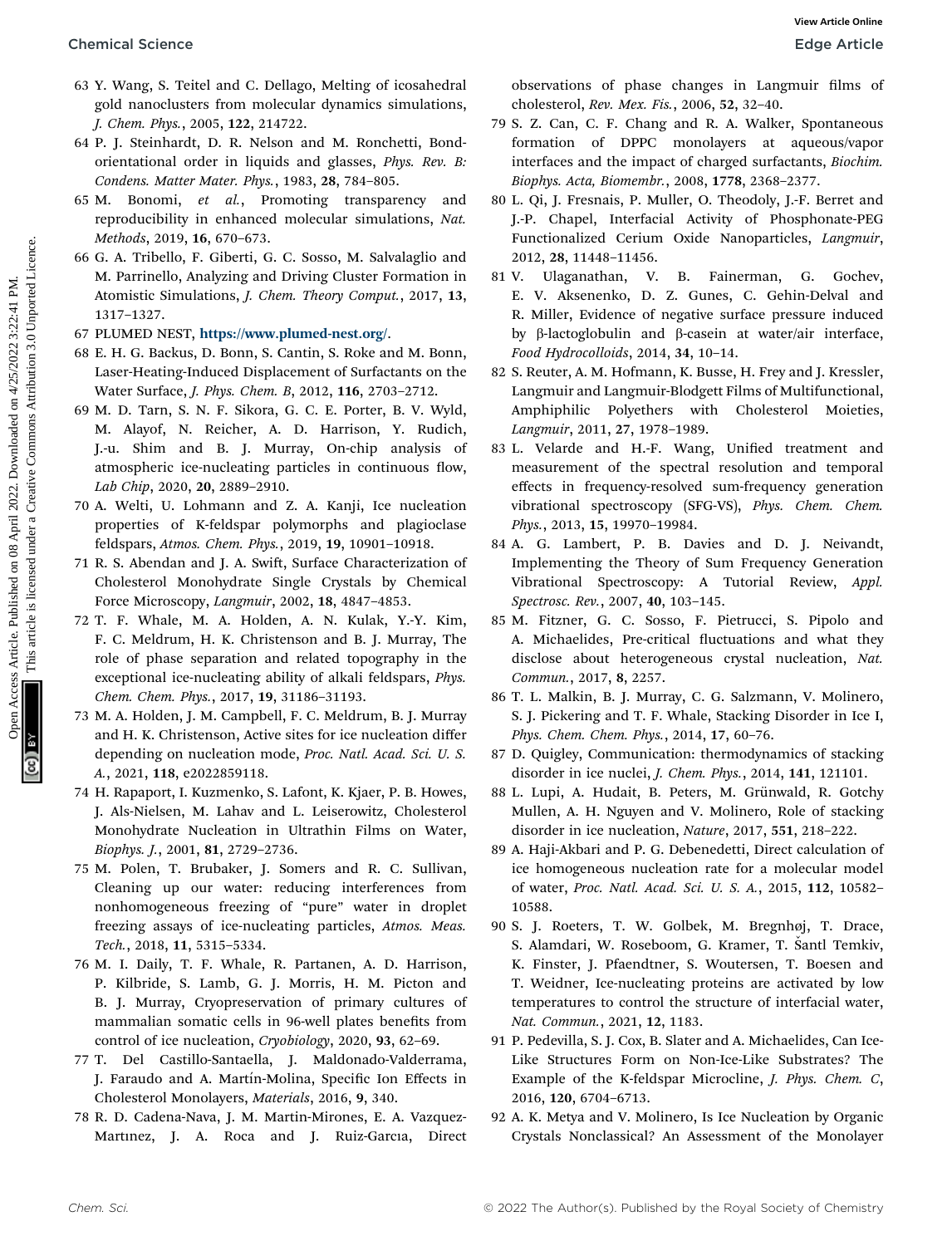- 63 Y. Wang, S. Teitel and C. Dellago, Melting of icosahedral gold nanoclusters from molecular dynamics simulations, J. Chem. Phys., 2005, 122, 214722.
- 64 P. J. Steinhardt, D. R. Nelson and M. Ronchetti, Bondorientational order in liquids and glasses, Phys. Rev. B: Condens. Matter Mater. Phys., 1983, 28, 784–805.
- 65 M. Bonomi, et al., Promoting transparency and reproducibility in enhanced molecular simulations, Nat. Methods, 2019, 16, 670–673.
- 66 G. A. Tribello, F. Giberti, G. C. Sosso, M. Salvalaglio and M. Parrinello, Analyzing and Driving Cluster Formation in Atomistic Simulations, J. Chem. Theory Comput., 2017, 13, 1317–1327.
- 67 PLUMED NEST, <https://www.plumed-nest.org/>.
- 68 E. H. G. Backus, D. Bonn, S. Cantin, S. Roke and M. Bonn, Laser-Heating-Induced Displacement of Surfactants on the Water Surface, J. Phys. Chem. B, 2012, 116, 2703–2712.
- 69 M. D. Tarn, S. N. F. Sikora, G. C. E. Porter, B. V. Wyld, M. Alayof, N. Reicher, A. D. Harrison, Y. Rudich, J.-u. Shim and B. J. Murray, On-chip analysis of atmospheric ice-nucleating particles in continuous flow, Lab Chip, 2020, 20, 2889–2910. Chemical Science<br>
for N. Wang, S. Teilar and C. Dellago, Melting, of inconduction the chemical on the R. A. 2003, 2022. Della Common Access Article is liquid and the street of the S. 2022. Are the street on the common and
	- 70 A. Welti, U. Lohmann and Z. A. Kanji, Ice nucleation properties of K-feldspar polymorphs and plagioclase feldspars, Atmos. Chem. Phys., 2019, 19, 10901–10918.
	- 71 R. S. Abendan and J. A. Swift, Surface Characterization of Cholesterol Monohydrate Single Crystals by Chemical Force Microscopy, Langmuir, 2002, 18, 4847–4853.
	- 72 T. F. Whale, M. A. Holden, A. N. Kulak, Y.-Y. Kim, F. C. Meldrum, H. K. Christenson and B. J. Murray, The role of phase separation and related topography in the exceptional ice-nucleating ability of alkali feldspars, Phys. Chem. Chem. Phys., 2017, 19, 31186–31193.
	- 73 M. A. Holden, J. M. Campbell, F. C. Meldrum, B. J. Murray and H. K. Christenson, Active sites for ice nucleation differ depending on nucleation mode, Proc. Natl. Acad. Sci. U. S. A., 2021, 118, e2022859118.
	- 74 H. Rapaport, I. Kuzmenko, S. Lafont, K. Kjaer, P. B. Howes, J. Als-Nielsen, M. Lahav and L. Leiserowitz, Cholesterol Monohydrate Nucleation in Ultrathin Films on Water, Biophys. J., 2001, 81, 2729–2736.
	- 75 M. Polen, T. Brubaker, J. Somers and R. C. Sullivan, Cleaning up our water: reducing interferences from nonhomogeneous freezing of "pure" water in droplet freezing assays of ice-nucleating particles, Atmos. Meas. Tech., 2018, 11, 5315–5334.
	- 76 M. I. Daily, T. F. Whale, R. Partanen, A. D. Harrison, P. Kilbride, S. Lamb, G. J. Morris, H. M. Picton and B. J. Murray, Cryopreservation of primary cultures of mammalian somatic cells in 96-well plates benefits from control of ice nucleation, Cryobiology, 2020, 93, 62–69.
	- 77 T. Del Castillo-Santaella, J. Maldonado-Valderrama, J. Faraudo and A. Martín-Molina, Specific Ion Effects in Cholesterol Monolayers, Materials, 2016, 9, 340.
	- 78 R. D. Cadena-Nava, J. M. Martin-Mirones, E. A. Vazquez-Martınez, J. A. Roca and J. Ruiz-Garcıa, Direct

observations of phase changes in Langmuir films of cholesterol, Rev. Mex. Fis., 2006, 52, 32–40.

- 79 S. Z. Can, C. F. Chang and R. A. Walker, Spontaneous formation of DPPC monolayers at aqueous/vapor interfaces and the impact of charged surfactants, Biochim. Biophys. Acta, Biomembr., 2008, 1778, 2368–2377.
- 80 L. Qi, J. Fresnais, P. Muller, O. Theodoly, J.-F. Berret and J.-P. Chapel, Interfacial Activity of Phosphonate-PEG Functionalized Cerium Oxide Nanoparticles, Langmuir, 2012, 28, 11448–11456.
- 81 V. Ulaganathan, V. B. Fainerman, G. Gochev, E. V. Aksenenko, D. Z. Gunes, C. Gehin-Delval and R. Miller, Evidence of negative surface pressure induced by  $\beta$ -lactoglobulin and  $\beta$ -casein at water/air interface, Food Hydrocolloids, 2014, 34, 10–14.
- 82 S. Reuter, A. M. Hofmann, K. Busse, H. Frey and J. Kressler, Langmuir and Langmuir-Blodgett Films of Multifunctional, Amphiphilic Polyethers with Cholesterol Moieties, Langmuir, 2011, 27, 1978–1989.
- 83 L. Velarde and H.-F. Wang, Unified treatment and measurement of the spectral resolution and temporal effects in frequency-resolved sum-frequency generation vibrational spectroscopy (SFG-VS), Phys. Chem. Chem. Phys., 2013, 15, 19970–19984.
- 84 A. G. Lambert, P. B. Davies and D. J. Neivandt, Implementing the Theory of Sum Frequency Generation Vibrational Spectroscopy: A Tutorial Review, Appl. Spectrosc. Rev., 2007, 40, 103–145.
- 85 M. Fitzner, G. C. Sosso, F. Pietrucci, S. Pipolo and A. Michaelides, Pre-critical fluctuations and what they disclose about heterogeneous crystal nucleation, Nat. Commun., 2017, 8, 2257.
- 86 T. L. Malkin, B. J. Murray, C. G. Salzmann, V. Molinero, S. J. Pickering and T. F. Whale, Stacking Disorder in Ice I, Phys. Chem. Chem. Phys., 2014, 17, 60–76.
- 87 D. Quigley, Communication: thermodynamics of stacking disorder in ice nuclei, J. Chem. Phys., 2014, 141, 121101.
- 88 L. Lupi, A. Hudait, B. Peters, M. Grünwald, R. Gotchy Mullen, A. H. Nguyen and V. Molinero, Role of stacking disorder in ice nucleation, Nature, 2017, 551, 218–222.
- 89 A. Haji-Akbari and P. G. Debenedetti, Direct calculation of ice homogeneous nucleation rate for a molecular model of water, Proc. Natl. Acad. Sci. U. S. A., 2015, 112, 10582– 10588.
- 90 S. J. Roeters, T. W. Golbek, M. Bregnhøj, T. Drace, S. Alamdari, W. Roseboom, G. Kramer, T. Santl Temkiv, K. Finster, J. Pfaendtner, S. Woutersen, T. Boesen and T. Weidner, Ice-nucleating proteins are activated by low temperatures to control the structure of interfacial water, Nat. Commun., 2021, 12, 1183.
- 91 P. Pedevilla, S. J. Cox, B. Slater and A. Michaelides, Can Ice-Like Structures Form on Non-Ice-Like Substrates? The Example of the K-feldspar Microcline, J. Phys. Chem. C, 2016, 120, 6704–6713.
- 92 A. K. Metya and V. Molinero, Is Ice Nucleation by Organic Crystals Nonclassical? An Assessment of the Monolayer